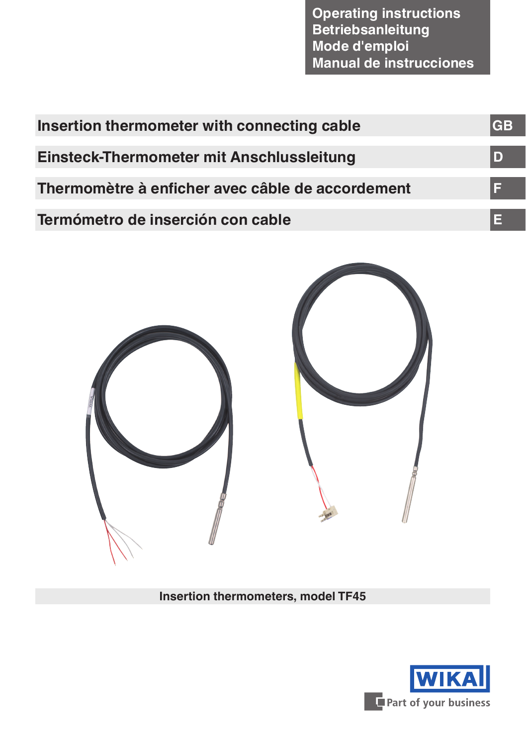| Insertion thermometer with connecting cable      | <b>GB</b> |
|--------------------------------------------------|-----------|
| Einsteck-Thermometer mit Anschlussleitung        |           |
| Thermomètre à enficher avec câble de accordement |           |
| Termómetro de inserción con cable                |           |



**Insertion thermometers, model TF45**

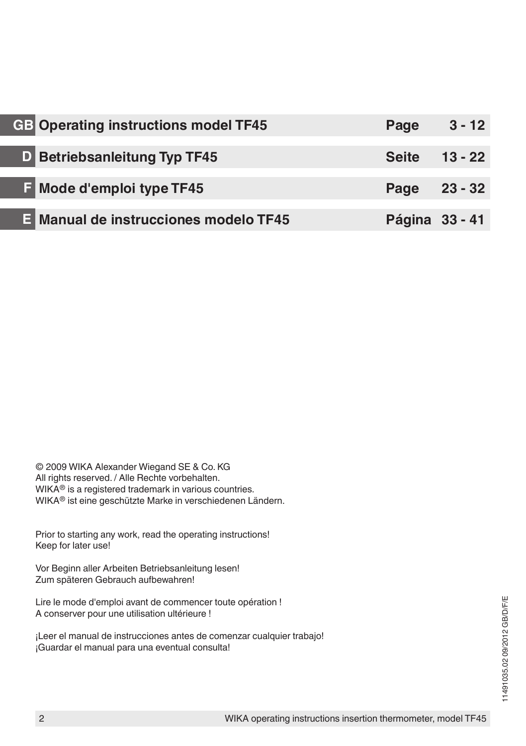| <b>GB</b> Operating instructions model TF45   | Page           | $3 - 12$ |
|-----------------------------------------------|----------------|----------|
| <b>D</b> Betriebsanleitung Typ TF45           | Seite 13 - 22  |          |
| $\blacktriangleright$ Mode d'emploi type TF45 | Page 23 - 32   |          |
| $\equiv$ Manual de instrucciones modelo TF45  | Página 33 - 41 |          |

© 2009 WIKA Alexander Wiegand SE & Co. KG All rights reserved. / Alle Rechte vorbehalten. WIKA<sup>®</sup> is a registered trademark in various countries. WIKA® ist eine geschützte Marke in verschiedenen Ländern.

Prior to starting any work, read the operating instructions! Keep for later use!

Vor Beginn aller Arbeiten Betriebsanleitung lesen! Zum späteren Gebrauch aufbewahren!

Lire le mode d'emploi avant de commencer toute opération ! A conserver pour une utilisation ultérieure !

¡Leer el manual de instrucciones antes de comenzar cualquier trabajo! ¡Guardar el manual para una eventual consulta!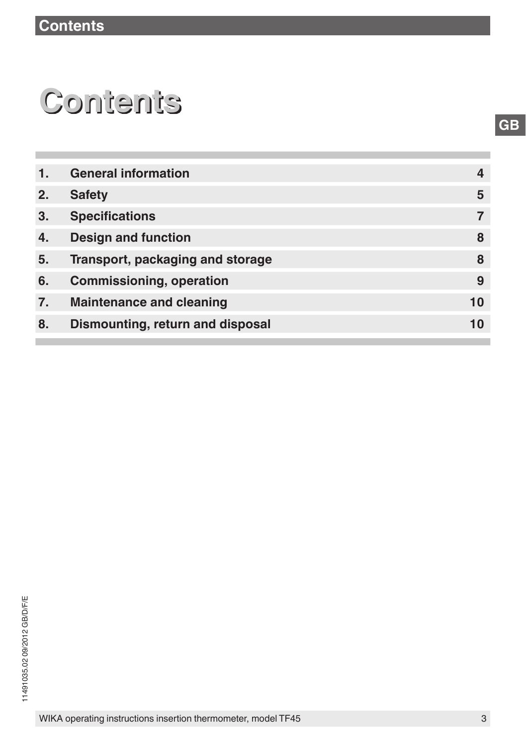# **Contents**

| 1. | <b>General information</b>       | 4  |
|----|----------------------------------|----|
| 2. | <b>Safety</b>                    | 5  |
| 3. | <b>Specifications</b>            |    |
| 4. | <b>Design and function</b>       | 8  |
| 5. | Transport, packaging and storage | 8  |
| 6. | <b>Commissioning, operation</b>  | 9  |
| 7. | <b>Maintenance and cleaning</b>  | 10 |
| 8. | Dismounting, return and disposal | 10 |

**GB**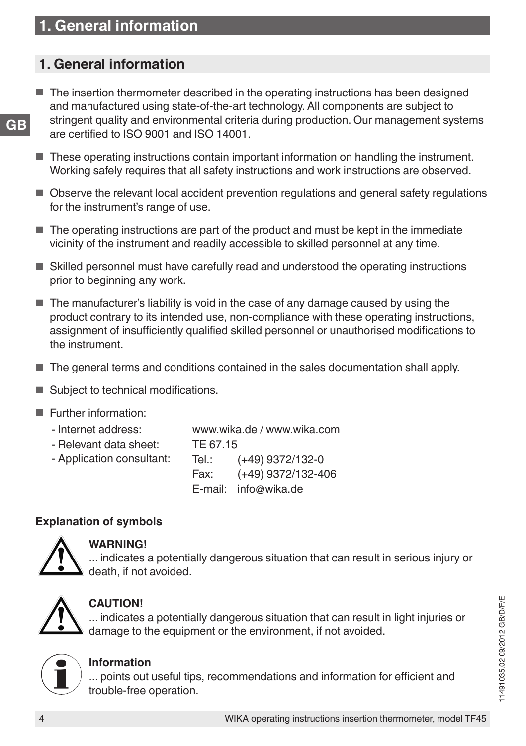# **1. General information**

- The insertion thermometer described in the operating instructions has been designed and manufactured using state-of-the-art technology. All components are subject to stringent quality and environmental criteria during production. Our management systems are certified to ISO 9001 and ISO 14001.
- These operating instructions contain important information on handling the instrument. Working safely requires that all safety instructions and work instructions are observed.
- Observe the relevant local accident prevention regulations and general safety regulations for the instrument's range of use.
- The operating instructions are part of the product and must be kept in the immediate vicinity of the instrument and readily accessible to skilled personnel at any time.
- Skilled personnel must have carefully read and understood the operating instructions prior to beginning any work.
- The manufacturer's liability is void in the case of any damage caused by using the product contrary to its intended use, non-compliance with these operating instructions, assignment of insufficiently qualified skilled personnel or unauthorised modifications to the instrument.
- The general terms and conditions contained in the sales documentation shall apply.
- Subject to technical modifications.
- Further information:

| - Internet address:       | www.wika.de / www.wika.com |                      |  |
|---------------------------|----------------------------|----------------------|--|
| - Relevant data sheet:    | TE 67.15                   |                      |  |
| - Application consultant: | (+49) 9372/132-0<br>Tel.:  |                      |  |
|                           | Fax:                       | $(+49)$ 9372/132-406 |  |
|                           |                            | E-mail: info@wika.de |  |

#### **Explanation of symbols**



#### **WARNING!**

... indicates a potentially dangerous situation that can result in serious injury or death, if not avoided.



#### **CAUTION!**

... indicates a potentially dangerous situation that can result in light injuries or damage to the equipment or the environment, if not avoided.



#### **Information**

... points out useful tips, recommendations and information for efficient and trouble-free operation.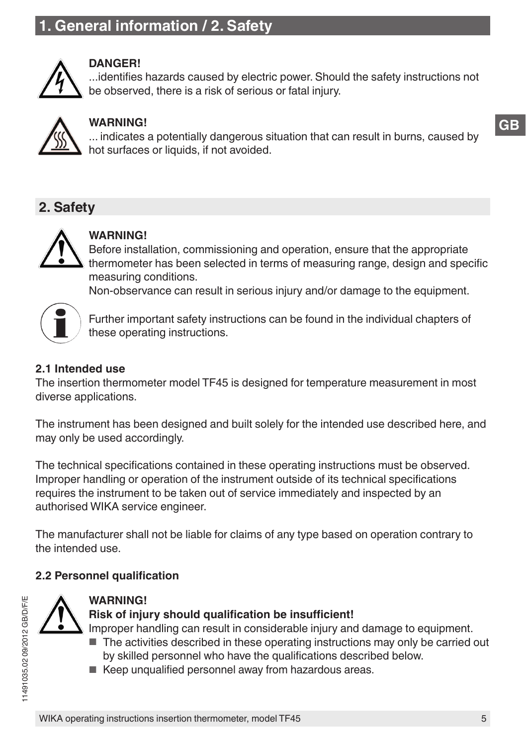# **1. General information / 2. Safety**



#### **DANGER!**

...identifies hazards caused by electric power. Should the safety instructions not be observed, there is a risk of serious or fatal injury.



#### **WARNING!**

... indicates a potentially dangerous situation that can result in burns, caused by hot surfaces or liquids, if not avoided.

# **2. Safety**



#### **WARNING!**

Before installation, commissioning and operation, ensure that the appropriate thermometer has been selected in terms of measuring range, design and specific measuring conditions.

Non-observance can result in serious injury and/or damage to the equipment.



Further important safety instructions can be found in the individual chapters of these operating instructions.

#### **2.1 Intended use**

The insertion thermometer model TF45 is designed for temperature measurement in most diverse applications.

The instrument has been designed and built solely for the intended use described here, and may only be used accordingly.

The technical specifications contained in these operating instructions must be observed. Improper handling or operation of the instrument outside of its technical specifications requires the instrument to be taken out of service immediately and inspected by an authorised WIKA service engineer.

The manufacturer shall not be liable for claims of any type based on operation contrary to the intended use.

#### **2.2 Personnel qualification**



#### **WARNING! Risk of injury should qualification be insufficient!**

Improper handling can result in considerable injury and damage to equipment.

- The activities described in these operating instructions may only be carried out by skilled personnel who have the qualifications described below.
- Keep unqualified personnel away from hazardous areas.

**GB**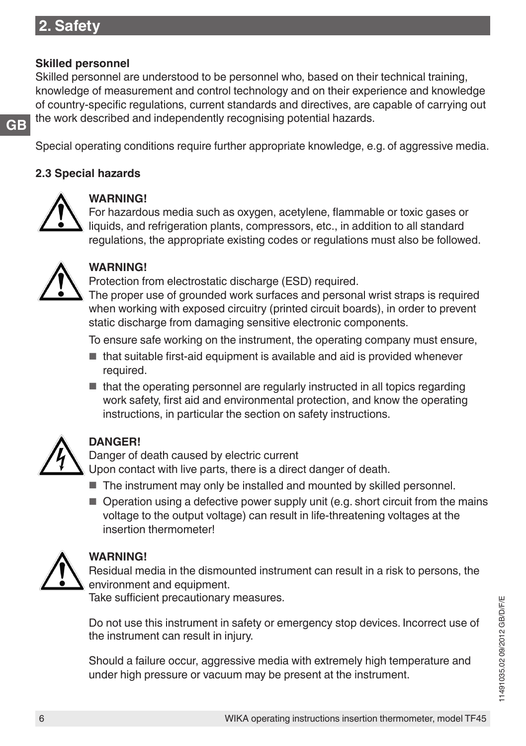# **2. Safety**

#### **Skilled personnel**

Skilled personnel are understood to be personnel who, based on their technical training, knowledge of measurement and control technology and on their experience and knowledge of country-specific regulations, current standards and directives, are capable of carrying out the work described and independently recognising potential hazards.

Special operating conditions require further appropriate knowledge, e.g. of aggressive media.

#### **2.3 Special hazards**



#### **WARNING!**

For hazardous media such as oxygen, acetylene, flammable or toxic gases or liquids, and refrigeration plants, compressors, etc., in addition to all standard regulations, the appropriate existing codes or regulations must also be followed.



#### **WARNING!**

Protection from electrostatic discharge (ESD) required.

The proper use of grounded work surfaces and personal wrist straps is required when working with exposed circuitry (printed circuit boards), in order to prevent static discharge from damaging sensitive electronic components.

To ensure safe working on the instrument, the operating company must ensure,

- that suitable first-aid equipment is available and aid is provided whenever required.
- $\blacksquare$  that the operating personnel are regularly instructed in all topics regarding work safety, first aid and environmental protection, and know the operating instructions, in particular the section on safety instructions.



#### **DANGER!**

Danger of death caused by electric current

Upon contact with live parts, there is a direct danger of death.

- The instrument may only be installed and mounted by skilled personnel.
- Operation using a defective power supply unit (e.g. short circuit from the mains voltage to the output voltage) can result in life-threatening voltages at the insertion thermometer!



#### **WARNING!**

Residual media in the dismounted instrument can result in a risk to persons, the environment and equipment.

Take sufficient precautionary measures.

Do not use this instrument in safety or emergency stop devices. Incorrect use of the instrument can result in injury.

Should a failure occur, aggressive media with extremely high temperature and under high pressure or vacuum may be present at the instrument.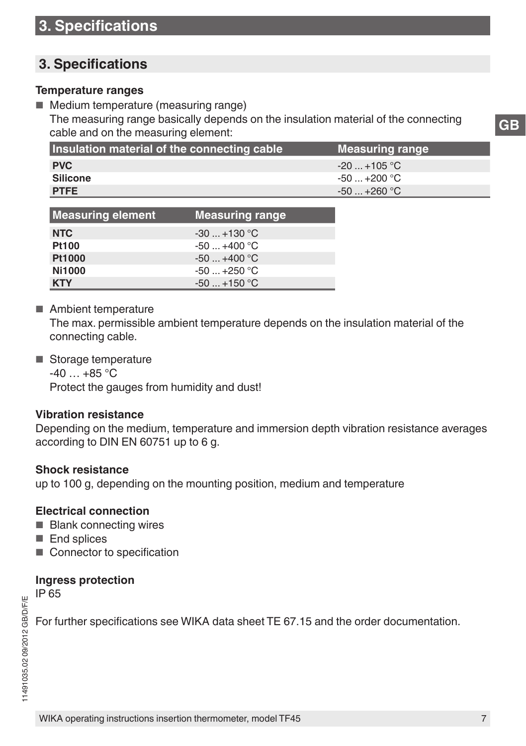# **3. Specifications**

#### **Temperature ranges**

■ Medium temperature (measuring range)

The measuring range basically depends on the insulation material of the connecting cable and on the measuring element:

| Insulation material of the connecting cable | <b>Measuring range</b> |
|---------------------------------------------|------------------------|
| <b>PVC</b>                                  | $-20+105$ °C           |
| <b>Silicone</b>                             | -50  +200 °C           |
| <b>PTFE</b>                                 | $-50+260$ °C           |

| Measuring element | <b>Measuring range</b> |
|-------------------|------------------------|
| <b>NTC</b>        | $-30+130$ °C           |
| Pt100             | $-50+400$ °C           |
| Pt1000            | $-50+400$ °C           |
| <b>Ni1000</b>     | $-50+250$ °C           |
| KTY               | $-50+150$ °C           |

#### ■ Ambient temperature

The max. permissible ambient temperature depends on the insulation material of the connecting cable.

■ Storage temperature  $-40$  ...  $+85$  °C Protect the gauges from humidity and dust!

#### **Vibration resistance**

Depending on the medium, temperature and immersion depth vibration resistance averages according to DIN EN 60751 up to 6 g.

#### **Shock resistance**

up to 100 g, depending on the mounting position, medium and temperature

#### **Electrical connection**

- Blank connecting wires
- End splices
- Connector to specification

#### **Ingress protection**

IP 65

For further specifications see WIKA data sheet TE 67.15 and the order documentation.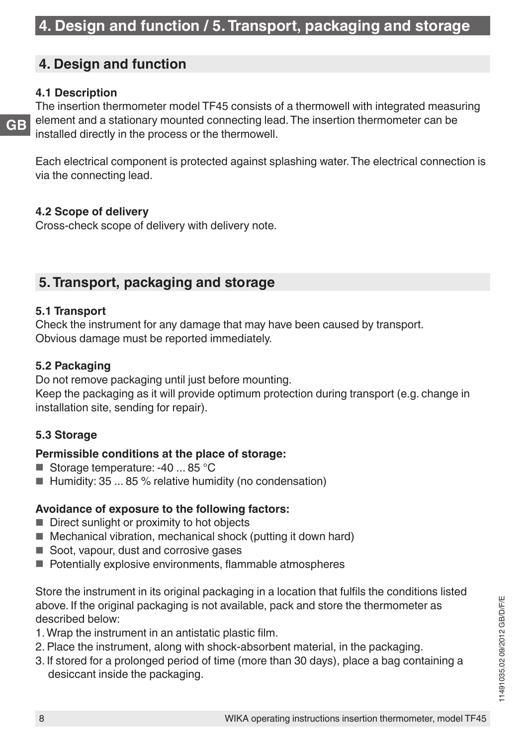# **4. Design and function**

#### **4.1 Description**

The insertion thermometer model TF45 consists of a thermowell with integrated measuring element and a stationary mounted connecting lead. The insertion thermometer can be installed directly in the process or the thermowell.

Each electrical component is protected against splashing water. The electrical connection is via the connecting lead.

## **4.2 Scope of delivery**

Cross-check scope of delivery with delivery note.

# **5. Transport, packaging and storage**

#### **5.1 Transport**

Check the instrument for any damage that may have been caused by transport. Obvious damage must be reported immediately.

#### **5.2 Packaging**

Do not remove packaging until just before mounting.

Keep the packaging as it will provide optimum protection during transport (e.g. change in installation site, sending for repair).

## **5.3 Storage**

## **Permissible conditions at the place of storage:**

- Storage temperature: -40 ... 85 °C
- Humidity: 35 ... 85 % relative humidity (no condensation)

# **Avoidance of exposure to the following factors:**

- Direct sunlight or proximity to hot objects
- Mechanical vibration, mechanical shock (putting it down hard)
- Soot, vapour, dust and corrosive gases
- Potentially explosive environments, flammable atmospheres

Store the instrument in its original packaging in a location that fulfils the conditions listed above. If the original packaging is not available, pack and store the thermometer as described below:

- 1. Wrap the instrument in an antistatic plastic film.
- 2. Place the instrument, along with shock-absorbent material, in the packaging.
- 3. If stored for a prolonged period of time (more than 30 days), place a bag containing a desiccant inside the packaging.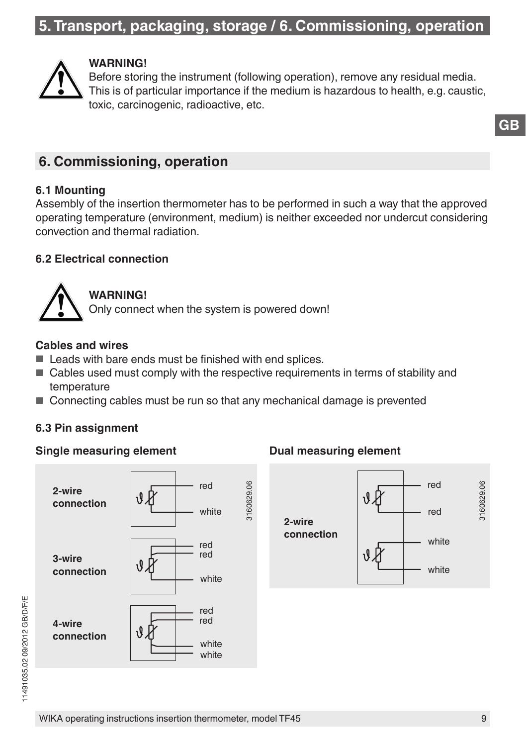# **5. Transport, packaging, storage / 6. Commissioning, operation**



#### **WARNING!**

Before storing the instrument (following operation), remove any residual media. This is of particular importance if the medium is hazardous to health, e.g. caustic, toxic, carcinogenic, radioactive, etc.

## **6. Commissioning, operation**

#### **6.1 Mounting**

Assembly of the insertion thermometer has to be performed in such a way that the approved operating temperature (environment, medium) is neither exceeded nor undercut considering convection and thermal radiation.

#### **6.2 Electrical connection**



#### **WARNING!**

Only connect when the system is powered down!

#### **Cables and wires**

- Leads with bare ends must be finished with end splices.
- Cables used must comply with the respective requirements in terms of stability and temperature
- Connecting cables must be run so that any mechanical damage is prevented

#### **6.3 Pin assignment**

#### **Single measuring element Dual measuring element**



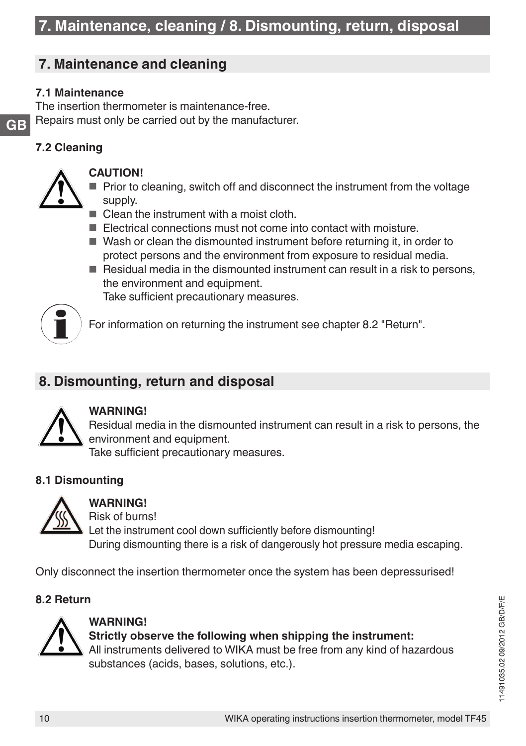# **7. Maintenance and cleaning**

#### **7.1 Maintenance**

The insertion thermometer is maintenance-free. Repairs must only be carried out by the manufacturer.

#### **7.2 Cleaning**



#### **CAUTION!**

- Prior to cleaning, switch off and disconnect the instrument from the voltage supply.
	- Clean the instrument with a moist cloth
	- Electrical connections must not come into contact with moisture.
	- Wash or clean the dismounted instrument before returning it, in order to protect persons and the environment from exposure to residual media.
	- Residual media in the dismounted instrument can result in a risk to persons, the environment and equipment.

Take sufficient precautionary measures.



For information on returning the instrument see chapter 8.2 "Return".

# **8. Dismounting, return and disposal**



#### **WARNING!**

Residual media in the dismounted instrument can result in a risk to persons, the environment and equipment.

Take sufficient precautionary measures.

#### **8.1 Dismounting**



#### **WARNING!**

Risk of burns! Let the instrument cool down sufficiently before dismounting! During dismounting there is a risk of dangerously hot pressure media escaping.

Only disconnect the insertion thermometer once the system has been depressurised!

#### **8.2 Return**



## **WARNING!**

#### **Strictly observe the following when shipping the instrument:** All instruments delivered to WIKA must be free from any kind of hazardous substances (acids, bases, solutions, etc.).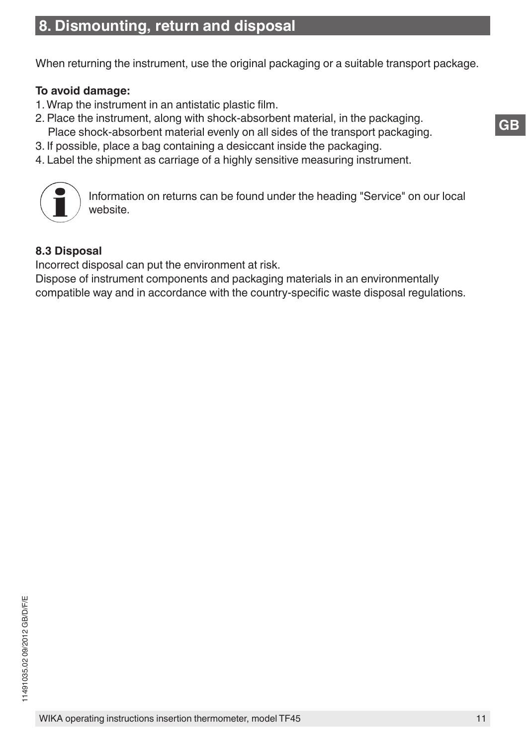# **8. Dismounting, return and disposal**

When returning the instrument, use the original packaging or a suitable transport package.

#### **To avoid damage:**

- 1. Wrap the instrument in an antistatic plastic film.
- 2. Place the instrument, along with shock-absorbent material, in the packaging. Place shock-absorbent material evenly on all sides of the transport packaging.
- 3. If possible, place a bag containing a desiccant inside the packaging.
- 4. Label the shipment as carriage of a highly sensitive measuring instrument.



Information on returns can be found under the heading "Service" on our local website.

#### **8.3 Disposal**

Incorrect disposal can put the environment at risk.

Dispose of instrument components and packaging materials in an environmentally compatible way and in accordance with the country-specific waste disposal regulations.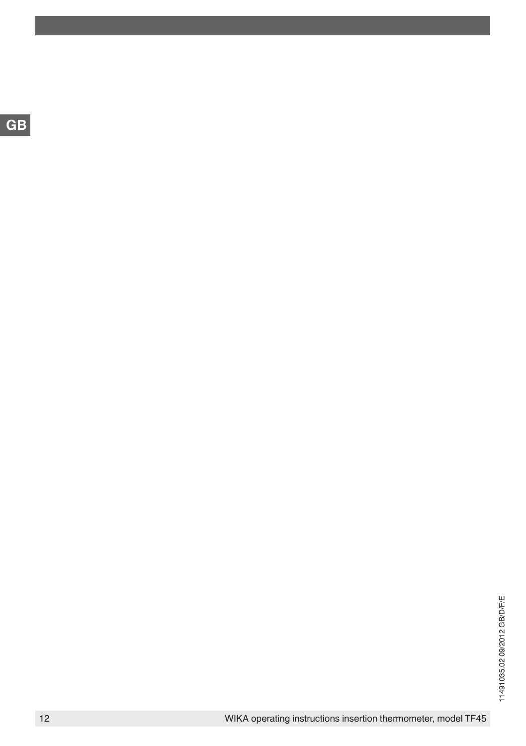**GB**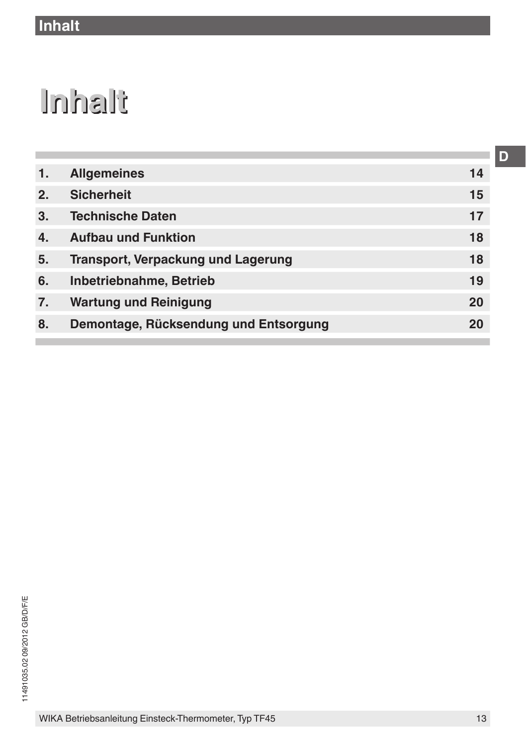# **Inhalt**

| 1.               | <b>Allgemeines</b>                    | 14 |
|------------------|---------------------------------------|----|
| 2.               | <b>Sicherheit</b>                     | 15 |
| 3.               | <b>Technische Daten</b>               | 17 |
| 4.               | <b>Aufbau und Funktion</b>            | 18 |
| 5.               | Transport, Verpackung und Lagerung    | 18 |
| 6.               | Inbetriebnahme, Betrieb               | 19 |
| $\overline{7}$ . | <b>Wartung und Reinigung</b>          | 20 |
| 8.               | Demontage, Rücksendung und Entsorgung | 20 |
|                  |                                       |    |

**D**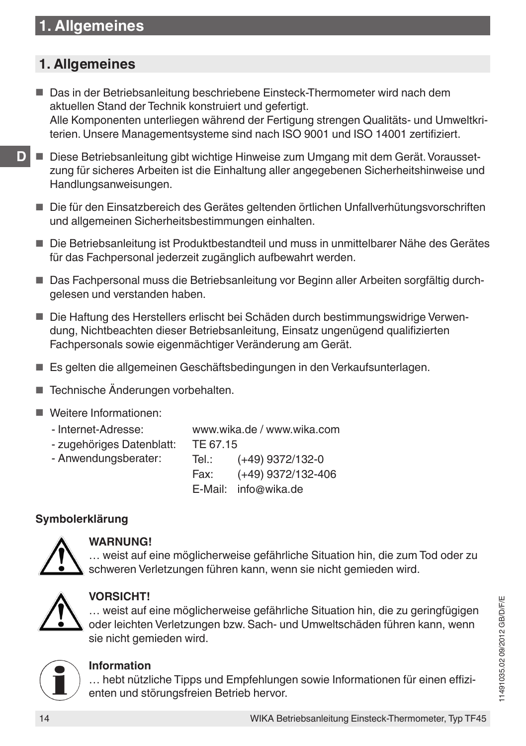# **1. Allgemeines**

- Das in der Betriebsanleitung beschriebene Einsteck-Thermometer wird nach dem aktuellen Stand der Technik konstruiert und gefertigt. Alle Komponenten unterliegen während der Fertigung strengen Qualitäts- und Umweltkriterien. Unsere Managementsysteme sind nach ISO 9001 und ISO 14001 zertifiziert.
- **D** Diese Betriebsanleitung gibt wichtige Hinweise zum Umgang mit dem Gerät. Voraussetzung für sicheres Arbeiten ist die Einhaltung aller angegebenen Sicherheitshinweise und Handlungsanweisungen.
	- Die für den Einsatzbereich des Gerätes geltenden örtlichen Unfallverhütungsvorschriften und allgemeinen Sicherheitsbestimmungen einhalten.
	- Die Betriebsanleitung ist Produktbestandteil und muss in unmittelbarer Nähe des Gerätes für das Fachpersonal jederzeit zugänglich aufbewahrt werden.
	- Das Fachpersonal muss die Betriebsanleitung vor Beginn aller Arbeiten sorgfältig durchgelesen und verstanden haben.
	- Die Haftung des Herstellers erlischt bei Schäden durch bestimmungswidrige Verwendung, Nichtbeachten dieser Betriebsanleitung, Einsatz ungenügend qualifizierten Fachpersonals sowie eigenmächtiger Veränderung am Gerät.
	- Es gelten die allgemeinen Geschäftsbedingungen in den Verkaufsunterlagen.
	- Technische Änderungen vorbehalten.
	- Weitere Informationen:

| - Internet-Adresse:       | www.wika.de / www.wika.com  |                      |  |
|---------------------------|-----------------------------|----------------------|--|
| - zugehöriges Datenblatt: | TE 67.15                    |                      |  |
| - Anwendungsberater:      | $(+49)$ 9372/132-0<br>Tel.: |                      |  |
|                           | Fax:                        | $(+49)$ 9372/132-406 |  |
|                           |                             | E-Mail: info@wika.de |  |

#### **Symbolerklärung**



#### **WARNUNG!**

… weist auf eine möglicherweise gefährliche Situation hin, die zum Tod oder zu schweren Verletzungen führen kann, wenn sie nicht gemieden wird.



#### **VORSICHT!**

… weist auf eine möglicherweise gefährliche Situation hin, die zu geringfügigen oder leichten Verletzungen bzw. Sach- und Umweltschäden führen kann, wenn sie nicht gemieden wird.



#### **Information**

… hebt nützliche Tipps und Empfehlungen sowie Informationen für einen effizienten und störungsfreien Betrieb hervor.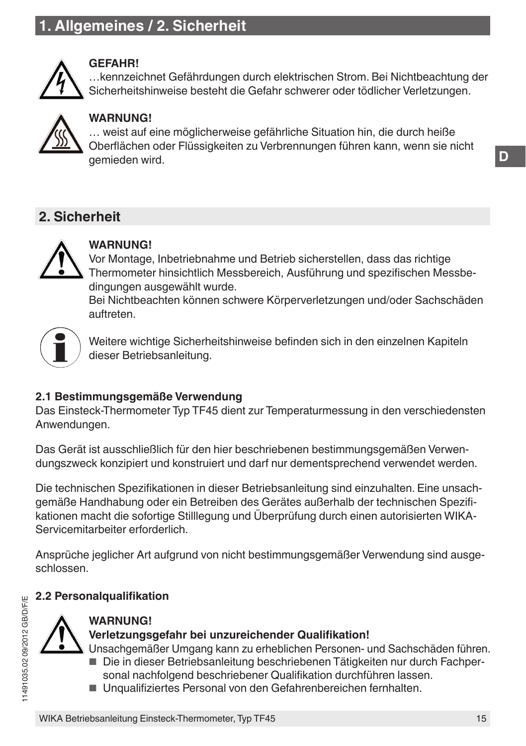# **1. Allgemeines / 2. Sicherheit**



#### **GEFAHR!**

…kennzeichnet Gefährdungen durch elektrischen Strom. Bei Nichtbeachtung der Sicherheitshinweise besteht die Gefahr schwerer oder tödlicher Verletzungen.



#### **WARNUNG!**

… weist auf eine möglicherweise gefährliche Situation hin, die durch heiße Oberflächen oder Flüssigkeiten zu Verbrennungen führen kann, wenn sie nicht gemieden wird.

# **2. Sicherheit**



#### **WARNUNG!**

Vor Montage, Inbetriebnahme und Betrieb sicherstellen, dass das richtige Thermometer hinsichtlich Messbereich, Ausführung und spezifischen Messbedingungen ausgewählt wurde.

Bei Nichtbeachten können schwere Körperverletzungen und/oder Sachschäden auftreten.



Weitere wichtige Sicherheitshinweise befinden sich in den einzelnen Kapiteln dieser Betriebsanleitung.

#### **2.1 Bestimmungsgemäße Verwendung**

Das Einsteck-Thermometer Typ TF45 dient zur Temperaturmessung in den verschiedensten Anwendungen.

Das Gerät ist ausschließlich für den hier beschriebenen bestimmungsgemäßen Verwendungszweck konzipiert und konstruiert und darf nur dementsprechend verwendet werden.

Die technischen Spezifikationen in dieser Betriebsanleitung sind einzuhalten. Eine unsachgemäße Handhabung oder ein Betreiben des Gerätes außerhalb der technischen Spezifikationen macht die sofortige Stilllegung und Überprüfung durch einen autorisierten WIKA-Servicemitarbeiter erforderlich.

Ansprüche jeglicher Art aufgrund von nicht bestimmungsgemäßer Verwendung sind ausgeschlossen.

#### **2.2 Personalqualifikation**



#### **WARNUNG! Verletzungsgefahr bei unzureichender Qualifikation!**

- Unsachgemäßer Umgang kann zu erheblichen Personen- und Sachschäden führen. ■ Die in dieser Betriebsanleitung beschriebenen Tätigkeiten nur durch Fachper
	- sonal nachfolgend beschriebener Qualifikation durchführen lassen.
- Unqualifiziertes Personal von den Gefahrenbereichen fernhalten.

11491035.02 09/2012 GB/D/F/E

11491035.02 09/2012 GB/D/F/E

**D**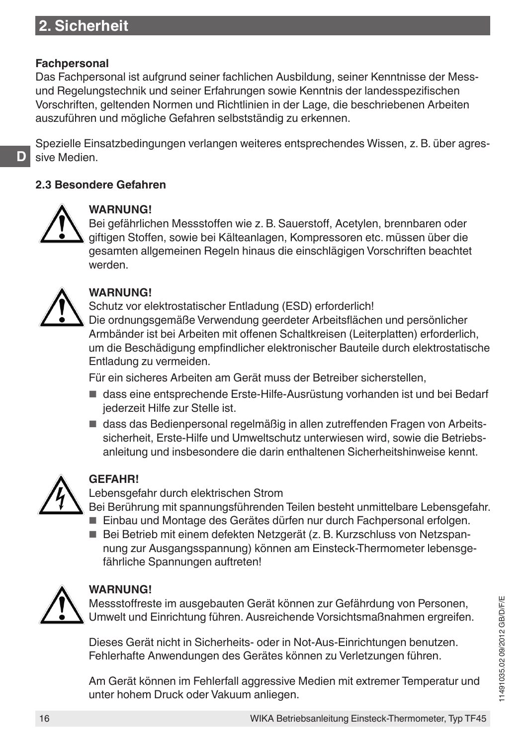# **2. Sicherheit**

#### **Fachpersonal**

Das Fachpersonal ist aufgrund seiner fachlichen Ausbildung, seiner Kenntnisse der Messund Regelungstechnik und seiner Erfahrungen sowie Kenntnis der landesspezifischen Vorschriften, geltenden Normen und Richtlinien in der Lage, die beschriebenen Arbeiten auszuführen und mögliche Gefahren selbstständig zu erkennen.

Spezielle Einsatzbedingungen verlangen weiteres entsprechendes Wissen, z. B. über agressive Medien.

#### **2.3 Besondere Gefahren**



#### **WARNUNG!**

Bei gefährlichen Messstoffen wie z. B. Sauerstoff, Acetylen, brennbaren oder giftigen Stoffen, sowie bei Kälteanlagen, Kompressoren etc. müssen über die gesamten allgemeinen Regeln hinaus die einschlägigen Vorschriften beachtet werden.



#### **WARNUNG!**

Schutz vor elektrostatischer Entladung (ESD) erforderlich! Die ordnungsgemäße Verwendung geerdeter Arbeitsflächen und persönlicher Armbänder ist bei Arbeiten mit offenen Schaltkreisen (Leiterplatten) erforderlich, um die Beschädigung empfindlicher elektronischer Bauteile durch elektrostatische

Entladung zu vermeiden.

Für ein sicheres Arbeiten am Gerät muss der Betreiber sicherstellen,

- dass eine entsprechende Erste-Hilfe-Ausrüstung vorhanden ist und bei Bedarf jederzeit Hilfe zur Stelle ist.
- dass das Bedienpersonal regelmäßig in allen zutreffenden Fragen von Arbeitssicherheit, Erste-Hilfe und Umweltschutz unterwiesen wird, sowie die Betriebsanleitung und insbesondere die darin enthaltenen Sicherheitshinweise kennt.



#### **GEFAHR!**

Lebensgefahr durch elektrischen Strom

Bei Berührung mit spannungsführenden Teilen besteht unmittelbare Lebensgefahr.

- Einbau und Montage des Gerätes dürfen nur durch Fachpersonal erfolgen.
- Bei Betrieb mit einem defekten Netzgerät (z. B. Kurzschluss von Netzspannung zur Ausgangsspannung) können am Einsteck-Thermometer lebensgefährliche Spannungen auftreten!



#### **WARNUNG!**

Messstoffreste im ausgebauten Gerät können zur Gefährdung von Personen, Umwelt und Einrichtung führen. Ausreichende Vorsichtsmaßnahmen ergreifen.

Dieses Gerät nicht in Sicherheits- oder in Not-Aus-Einrichtungen benutzen. Fehlerhafte Anwendungen des Gerätes können zu Verletzungen führen.

Am Gerät können im Fehlerfall aggressive Medien mit extremer Temperatur und unter hohem Druck oder Vakuum anliegen.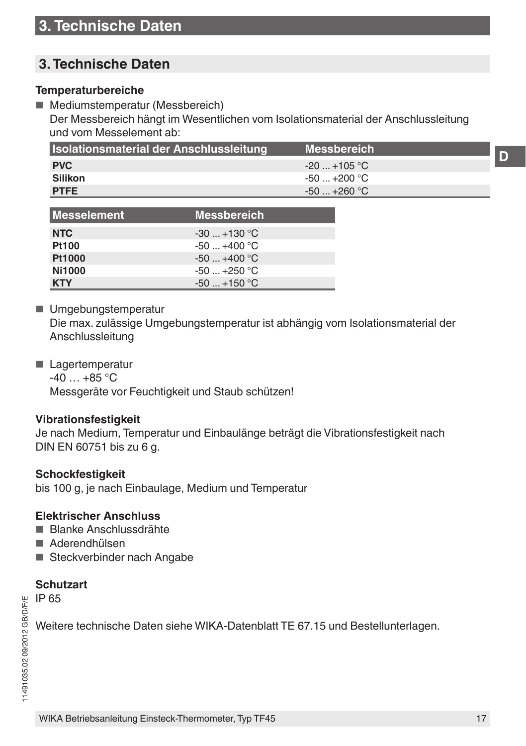# **3. Technische Daten**

#### **Temperaturbereiche**

■ Mediumstemperatur (Messbereich)

Der Messbereich hängt im Wesentlichen vom Isolationsmaterial der Anschlussleitung und vom Messelement ab:

| <b>Isolationsmaterial der Anschlussleitung</b> | Messbereich  |  |
|------------------------------------------------|--------------|--|
| <b>PVC</b>                                     | $-20+105$ °C |  |
| <b>Silikon</b>                                 | $-50+200$ °C |  |
| <b>PTFE</b>                                    | $-50+260$ °C |  |

| l Messelement | Messbereich  |
|---------------|--------------|
| <b>NTC</b>    | $-30+130$ °C |
| Pt100         | $-50+400$ °C |
| Pt1000        | $-50+400$ °C |
| Ni1000        | $-50+250$ °C |
| <b>KTY</b>    | $-50+150$ °C |

#### ■ Umgebungstemperatur

Die max. zulässige Umgebungstemperatur ist abhängig vom Isolationsmaterial der Anschlussleitung

■ Lagertemperatur  $-40$   $+85$  °C Messgeräte vor Feuchtigkeit und Staub schützen!

#### **Vibrationsfestigkeit**

Je nach Medium, Temperatur und Einbaulänge beträgt die Vibrationsfestigkeit nach DIN EN 60751 bis zu 6 g.

#### **Schockfestigkeit**

bis 100 g, je nach Einbaulage, Medium und Temperatur

#### **Elektrischer Anschluss**

- Blanke Anschlussdrähte
- Aderendhülsen
- Steckverbinder nach Angabe

#### **Schutzart**

IP 65

Weitere technische Daten siehe WIKA-Datenblatt TE 67.15 und Bestellunterlagen.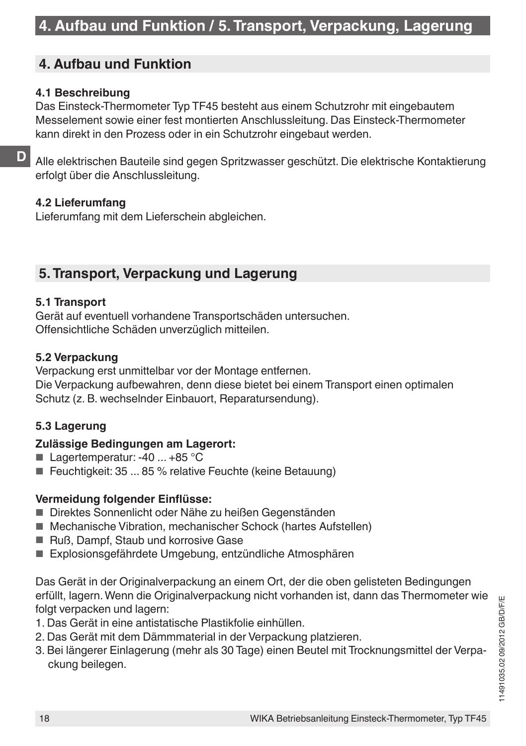# **4. Aufbau und Funktion**

#### **4.1 Beschreibung**

Das Einsteck-Thermometer Typ TF45 besteht aus einem Schutzrohr mit eingebautem Messelement sowie einer fest montierten Anschlussleitung. Das Einsteck-Thermometer kann direkt in den Prozess oder in ein Schutzrohr eingebaut werden.

**D**

Alle elektrischen Bauteile sind gegen Spritzwasser geschützt. Die elektrische Kontaktierung erfolgt über die Anschlussleitung.

#### **4.2 Lieferumfang**

Lieferumfang mit dem Lieferschein abgleichen.

# **5. Transport, Verpackung und Lagerung**

#### **5.1 Transport**

Gerät auf eventuell vorhandene Transportschäden untersuchen. Offensichtliche Schäden unverzüglich mitteilen.

#### **5.2 Verpackung**

Verpackung erst unmittelbar vor der Montage entfernen. Die Verpackung aufbewahren, denn diese bietet bei einem Transport einen optimalen Schutz (z. B. wechselnder Einbauort, Reparatursendung).

#### **5.3 Lagerung**

#### **Zulässige Bedingungen am Lagerort:**

- Lagertemperatur: -40 ... +85 °C
- Feuchtigkeit: 35 ... 85 % relative Feuchte (keine Betauung)

#### **Vermeidung folgender Einflüsse:**

- Direktes Sonnenlicht oder Nähe zu heißen Gegenständen
- Mechanische Vibration, mechanischer Schock (hartes Aufstellen)
- Ruß, Dampf, Staub und korrosive Gase
- Explosionsgefährdete Umgebung, entzündliche Atmosphären

Das Gerät in der Originalverpackung an einem Ort, der die oben gelisteten Bedingungen erfüllt, lagern. Wenn die Originalverpackung nicht vorhanden ist, dann das Thermometer wie folgt verpacken und lagern:

- 1. Das Gerät in eine antistatische Plastikfolie einhüllen.
- 2. Das Gerät mit dem Dämmmaterial in der Verpackung platzieren.
- 3. Bei längerer Einlagerung (mehr als 30 Tage) einen Beutel mit Trocknungsmittel der Verpackung beilegen.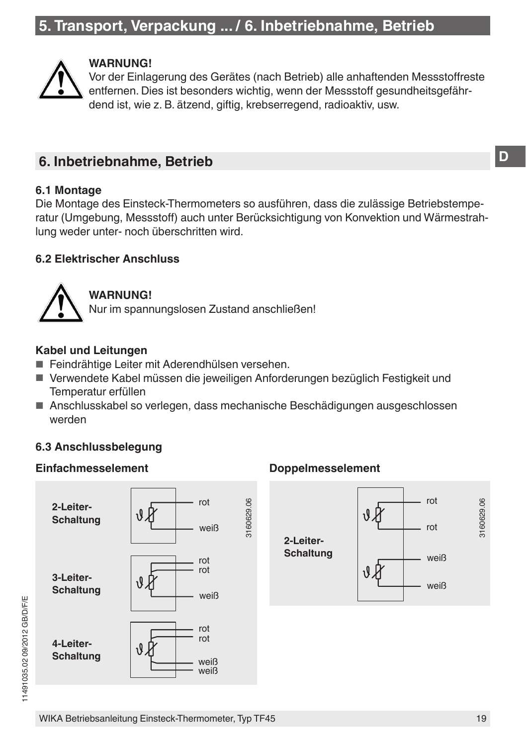# **5. Transport, Verpackung ... / 6. Inbetriebnahme, Betrieb**



#### **WARNUNG!**

Vor der Einlagerung des Gerätes (nach Betrieb) alle anhaftenden Messstoffreste entfernen. Dies ist besonders wichtig, wenn der Messstoff gesundheitsgefährdend ist, wie z. B. ätzend, giftig, krebserregend, radioaktiv, usw.

## **6. Inbetriebnahme, Betrieb**

#### **6.1 Montage**

Die Montage des Einsteck-Thermometers so ausführen, dass die zulässige Betriebstemperatur (Umgebung, Messstoff) auch unter Berücksichtigung von Konvektion und Wärmestrahlung weder unter- noch überschritten wird.

#### **6.2 Elektrischer Anschluss**



#### **WARNUNG!**

Nur im spannungslosen Zustand anschließen!

#### **Kabel und Leitungen**

- Feindrähtige Leiter mit Aderendhülsen versehen.
- Verwendete Kabel müssen die jeweiligen Anforderungen bezüglich Festigkeit und Temperatur erfüllen
- Anschlusskabel so verlegen, dass mechanische Beschädigungen ausgeschlossen werden

#### **6.3 Anschlussbelegung**



#### **Einfachmesselement Doppelmesselement**

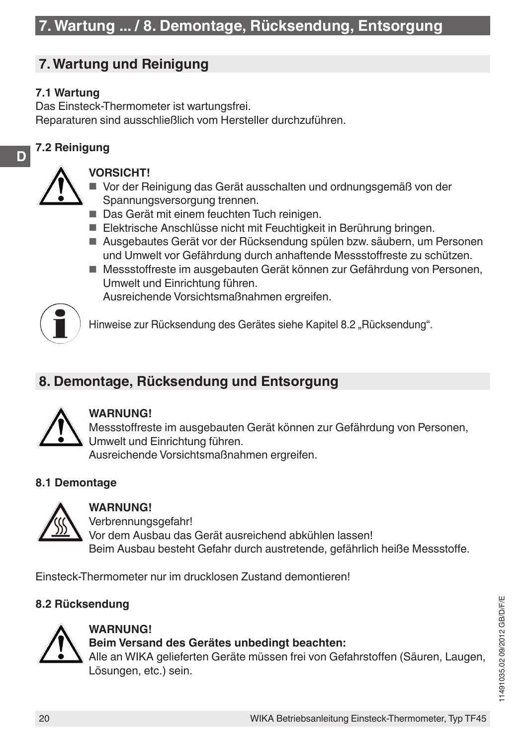# **7. Wartung und Reinigung**

#### **7.1 Wartung**

Das Einsteck-Thermometer ist wartungsfrei. Reparaturen sind ausschließlich vom Hersteller durchzuführen.

#### **7.2 Reinigung**



#### **VORSICHT!**

- Vor der Reinigung das Gerät ausschalten und ordnungsgemäß von der Spannungsversorgung trennen.
- Das Gerät mit einem feuchten Tuch reinigen.
- Elektrische Anschlüsse nicht mit Feuchtigkeit in Berührung bringen.
- Ausgebautes Gerät vor der Rücksendung spülen bzw. säubern, um Personen und Umwelt vor Gefährdung durch anhaftende Messstoffreste zu schützen.
- Messstoffreste im ausgebauten Gerät können zur Gefährdung von Personen, Umwelt und Einrichtung führen.

Ausreichende Vorsichtsmaßnahmen ergreifen.



Hinweise zur Rücksendung des Gerätes siehe Kapitel 8.2 "Rücksendung".

# **8. Demontage, Rücksendung und Entsorgung**



#### **WARNUNG!**

Messstoffreste im ausgebauten Gerät können zur Gefährdung von Personen, Umwelt und Einrichtung führen. Ausreichende Vorsichtsmaßnahmen ergreifen.

# **8.1 Demontage**



#### **WARNUNG!**

Verbrennungsgefahr! Vor dem Ausbau das Gerät ausreichend abkühlen lassen! Beim Ausbau besteht Gefahr durch austretende, gefährlich heiße Messstoffe.

Einsteck-Thermometer nur im drucklosen Zustand demontieren!

## **8.2 Rücksendung**



#### **WARNUNG!**

#### **Beim Versand des Gerätes unbedingt beachten:**

Alle an WIKA gelieferten Geräte müssen frei von Gefahrstoffen (Säuren, Laugen, Lösungen, etc.) sein.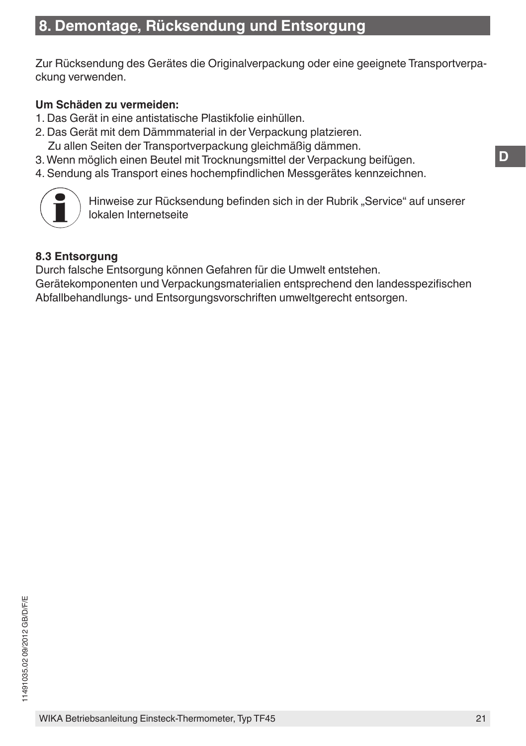Zur Rücksendung des Gerätes die Originalverpackung oder eine geeignete Transportverpackung verwenden.

#### **Um Schäden zu vermeiden:**

- 1. Das Gerät in eine antistatische Plastikfolie einhüllen.
- 2. Das Gerät mit dem Dämmmaterial in der Verpackung platzieren. Zu allen Seiten der Transportverpackung gleichmäßig dämmen.
- 3. Wenn möglich einen Beutel mit Trocknungsmittel der Verpackung beifügen.
- 4. Sendung als Transport eines hochempfindlichen Messgerätes kennzeichnen.



Hinweise zur Rücksendung befinden sich in der Rubrik "Service" auf unserer lokalen Internetseite

#### **8.3 Entsorgung**

Durch falsche Entsorgung können Gefahren für die Umwelt entstehen.

Gerätekomponenten und Verpackungsmaterialien entsprechend den landesspezifischen Abfallbehandlungs- und Entsorgungsvorschriften umweltgerecht entsorgen.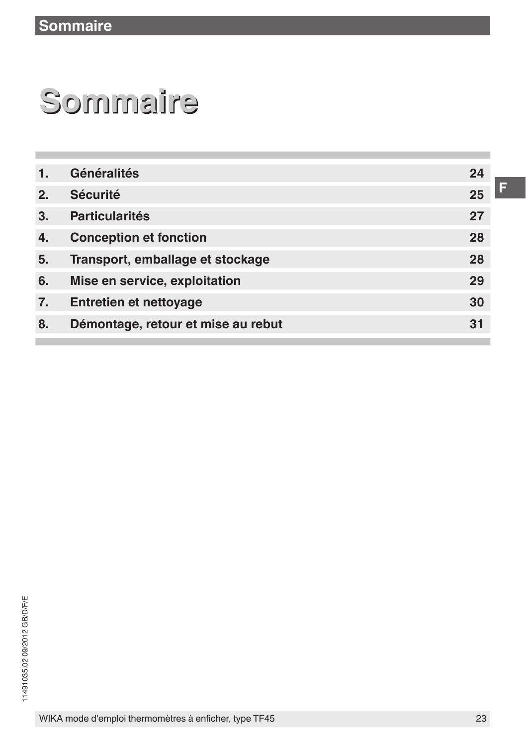# **Sommaire**

| 1. | <b>Généralités</b>                 | 24 |
|----|------------------------------------|----|
| 2. | <b>Sécurité</b>                    | 25 |
| 3. | <b>Particularités</b>              | 27 |
| 4. | <b>Conception et fonction</b>      | 28 |
| 5. | Transport, emballage et stockage   | 28 |
| 6. | Mise en service, exploitation      | 29 |
| 7. | <b>Entretien et nettovage</b>      | 30 |
| 8. | Démontage, retour et mise au rebut | 31 |
|    |                                    |    |

**F**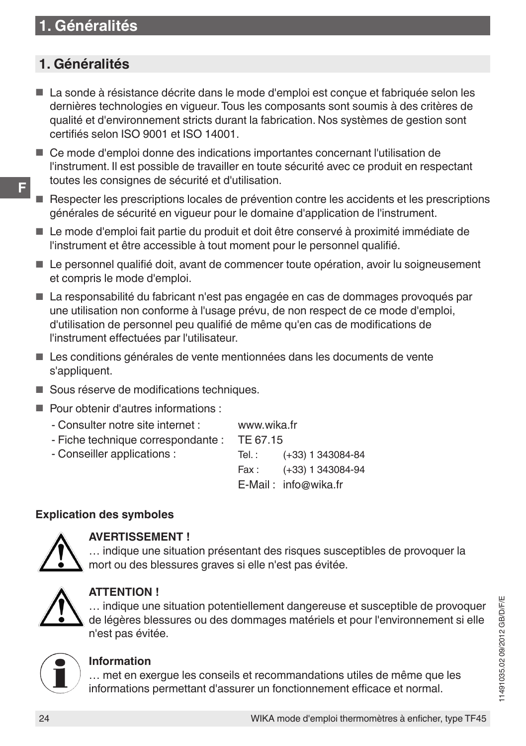# **1. Généralités**

**F**

- La sonde à résistance décrite dans le mode d'emploi est conçue et fabriquée selon les dernières technologies en vigueur. Tous les composants sont soumis à des critères de qualité et d'environnement stricts durant la fabrication. Nos systèmes de gestion sont certifiés selon ISO 9001 et ISO 14001.
- Ce mode d'emploi donne des indications importantes concernant l'utilisation de l'instrument. Il est possible de travailler en toute sécurité avec ce produit en respectant toutes les consignes de sécurité et d'utilisation.
- Respecter les prescriptions locales de prévention contre les accidents et les prescriptions générales de sécurité en vigueur pour le domaine d'application de l'instrument.
- Le mode d'emploi fait partie du produit et doit être conservé à proximité immédiate de l'instrument et être accessible à tout moment pour le personnel qualifié.
- Le personnel qualifié doit, avant de commencer toute opération, avoir lu soigneusement et compris le mode d'emploi.
- La responsabilité du fabricant n'est pas engagée en cas de dommages provoqués par une utilisation non conforme à l'usage prévu, de non respect de ce mode d'emploi, d'utilisation de personnel peu qualifié de même qu'en cas de modifications de l'instrument effectuées par l'utilisateur.
- Les conditions générales de vente mentionnées dans les documents de vente s'appliquent.
- Sous réserve de modifications techniques.
- Pour obtenir d'autres informations ·

| - Consulter notre site internet :  | www.wika.fr |                      |
|------------------------------------|-------------|----------------------|
| - Fiche technique correspondante : | TE 67.15    |                      |
| - Conseiller applications :        | Tel. :      | $(+33)$ 1 343084-84  |
|                                    | Fax :       | $(+33)$ 1 343084-94  |
|                                    |             | E-Mail: info@wika.fr |
|                                    |             |                      |

#### **Explication des symboles**



#### **AVERTISSEMENT !**

… indique une situation présentant des risques susceptibles de provoquer la mort ou des blessures graves si elle n'est pas évitée.



#### **ATTENTION !**

… indique une situation potentiellement dangereuse et susceptible de provoquer de légères blessures ou des dommages matériels et pour l'environnement si elle n'est pas évitée.



#### **Information**

… met en exergue les conseils et recommandations utiles de même que les informations permettant d'assurer un fonctionnement efficace et normal.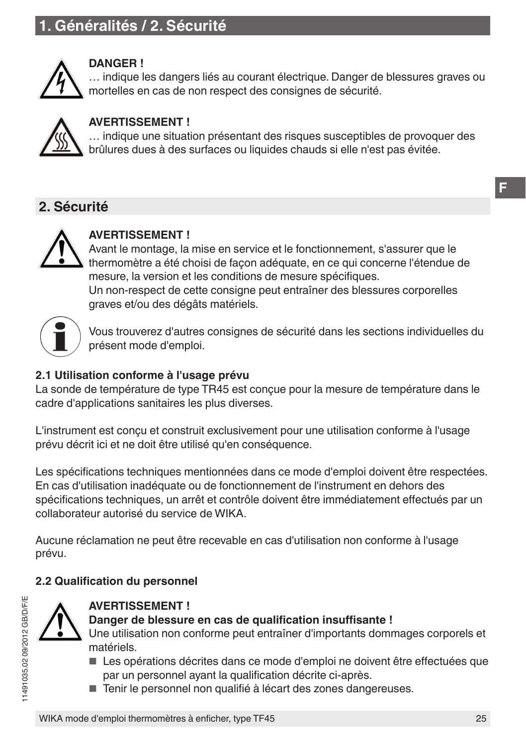# **1. Généralités / 2. Sécurité**



#### **DANGER !**

… indique les dangers liés au courant électrique. Danger de blessures graves ou mortelles en cas de non respect des consignes de sécurité.



#### **AVERTISSEMENT !**

… indique une situation présentant des risques susceptibles de provoquer des brûlures dues à des surfaces ou liquides chauds si elle n'est pas évitée.

# **2. Sécurité**



#### **AVERTISSEMENT !**

Avant le montage, la mise en service et le fonctionnement, s'assurer que le thermomètre a été choisi de façon adéquate, en ce qui concerne l'étendue de mesure, la version et les conditions de mesure spécifiques. Un non-respect de cette consigne peut entraîner des blessures corporelles graves et/ou des dégâts matériels.



Vous trouverez d'autres consignes de sécurité dans les sections individuelles du présent mode d'emploi.

#### **2.1 Utilisation conforme à l'usage prévu**

La sonde de température de type TR45 est conçue pour la mesure de température dans le cadre d'applications sanitaires les plus diverses.

L'instrument est conçu et construit exclusivement pour une utilisation conforme à l'usage prévu décrit ici et ne doit être utilisé qu'en conséquence.

Les spécifications techniques mentionnées dans ce mode d'emploi doivent être respectées. En cas d'utilisation inadéquate ou de fonctionnement de l'instrument en dehors des spécifications techniques, un arrêt et contrôle doivent être immédiatement effectués par un collaborateur autorisé du service de WIKA.

Aucune réclamation ne peut être recevable en cas d'utilisation non conforme à l'usage prévu.

#### **2.2 Qualification du personnel**



11491035.02 09/2012 GB/D/F/E

11491035.02 09/2012 GB/D/F/E

#### **AVERTISSEMENT !**

#### **Danger de blessure en cas de qualification insuffisante !**

Une utilisation non conforme peut entraîner d'importants dommages corporels et matériels.

- Les opérations décrites dans ce mode d'emploi ne doivent être effectuées que par un personnel ayant la qualification décrite ci-après.
- Tenir le personnel non qualifié à lécart des zones dangereuses.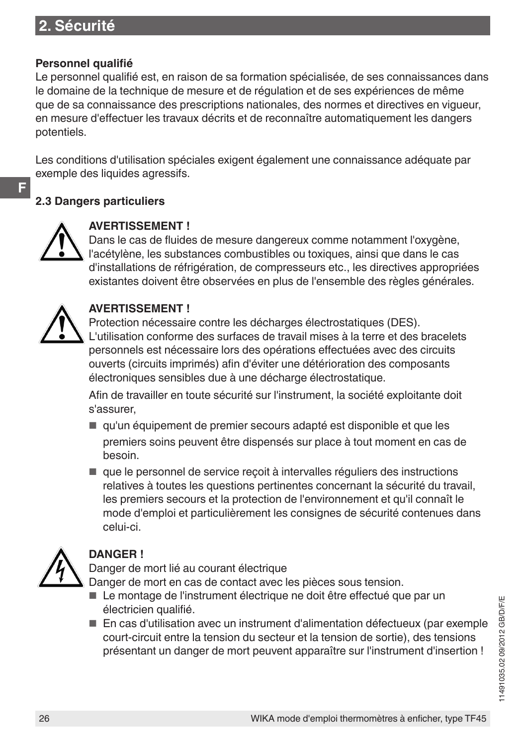#### **Personnel qualifié**

Le personnel qualifié est, en raison de sa formation spécialisée, de ses connaissances dans le domaine de la technique de mesure et de régulation et de ses expériences de même que de sa connaissance des prescriptions nationales, des normes et directives en vigueur, en mesure d'effectuer les travaux décrits et de reconnaître automatiquement les dangers potentiels.

Les conditions d'utilisation spéciales exigent également une connaissance adéquate par exemple des liquides agressifs.

#### **2.3 Dangers particuliers**



**F**

#### **AVERTISSEMENT !**

Dans le cas de fluides de mesure dangereux comme notamment l'oxygène, l'acétylène, les substances combustibles ou toxiques, ainsi que dans le cas d'installations de réfrigération, de compresseurs etc., les directives appropriées existantes doivent être observées en plus de l'ensemble des règles générales.



#### **AVERTISSEMENT !**

Protection nécessaire contre les décharges électrostatiques (DES). L'utilisation conforme des surfaces de travail mises à la terre et des bracelets personnels est nécessaire lors des opérations effectuées avec des circuits ouverts (circuits imprimés) afin d'éviter une détérioration des composants électroniques sensibles due à une décharge électrostatique.

Afin de travailler en toute sécurité sur l'instrument, la société exploitante doit s'assurer,

- qu'un équipement de premier secours adapté est disponible et que les premiers soins peuvent être dispensés sur place à tout moment en cas de besoin.
- que le personnel de service recoit à intervalles réguliers des instructions relatives à toutes les questions pertinentes concernant la sécurité du travail, les premiers secours et la protection de l'environnement et qu'il connaît le mode d'emploi et particulièrement les consignes de sécurité contenues dans celui-ci.



#### **DANGER !**

Danger de mort lié au courant électrique

Danger de mort en cas de contact avec les pièces sous tension.

- Le montage de l'instrument électrique ne doit être effectué que par un électricien qualifié.
- En cas d'utilisation avec un instrument d'alimentation défectueux (par exemple court-circuit entre la tension du secteur et la tension de sortie), des tensions présentant un danger de mort peuvent apparaître sur l'instrument d'insertion !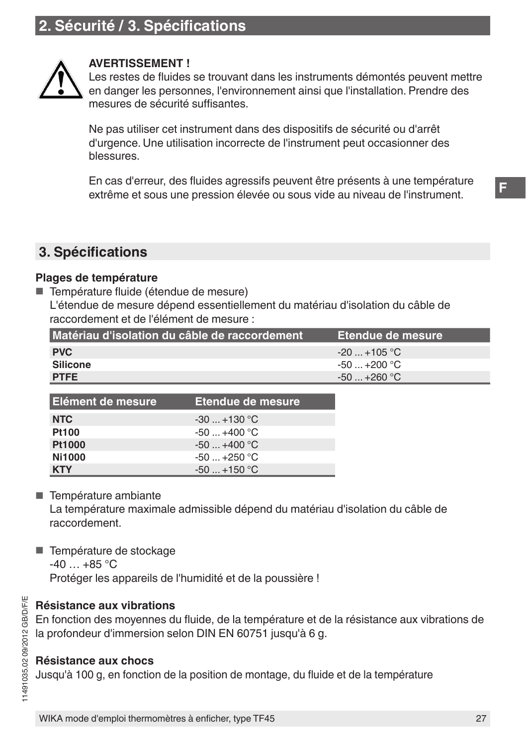

#### **AVERTISSEMENT !**

Les restes de fluides se trouvant dans les instruments démontés peuvent mettre en danger les personnes, l'environnement ainsi que l'installation. Prendre des mesures de sécurité suffisantes.

Ne pas utiliser cet instrument dans des dispositifs de sécurité ou d'arrêt d'urgence. Une utilisation incorrecte de l'instrument peut occasionner des blessures.

En cas d'erreur, des fluides agressifs peuvent être présents à une température extrême et sous une pression élevée ou sous vide au niveau de l'instrument.

## **3. Spécifications**

#### **Plages de température**

■ Température fluide (étendue de mesure)

L'étendue de mesure dépend essentiellement du matériau d'isolation du câble de raccordement et de l'élément de mesure :

| Matériau d'isolation du câble de raccordement | <b>Etendue de mesure</b> |
|-----------------------------------------------|--------------------------|
| <b>PVC</b>                                    | $-20+105$ °C             |
| <b>Silicone</b>                               | $-50+200$ °C             |
| <b>PTFE</b>                                   | $-50 - +260$ °C          |

| Elément de mesure | Etendue de mesure |
|-------------------|-------------------|
| <b>NTC</b>        | $-30+130$ °C      |
| <b>Pt100</b>      | $-50+400$ °C      |
| Pt1000            | $-50+400$ °C      |
| <b>Ni1000</b>     | $-50+250$ °C      |
| <b>KTY</b>        | $-50+150$ °C      |

#### ■ Température ambiante

La température maximale admissible dépend du matériau d'isolation du câble de raccordement.

■ Température de stockage  $-40 +85$  °C Protéger les appareils de l'humidité et de la poussière !

#### **Résistance aux vibrations**

En fonction des moyennes du fluide, de la température et de la résistance aux vibrations de la profondeur d'immersion selon DIN EN 60751 jusqu'à 6 g.

#### **Résistance aux chocs**

Jusqu'à 100 g, en fonction de la position de montage, du fluide et de la température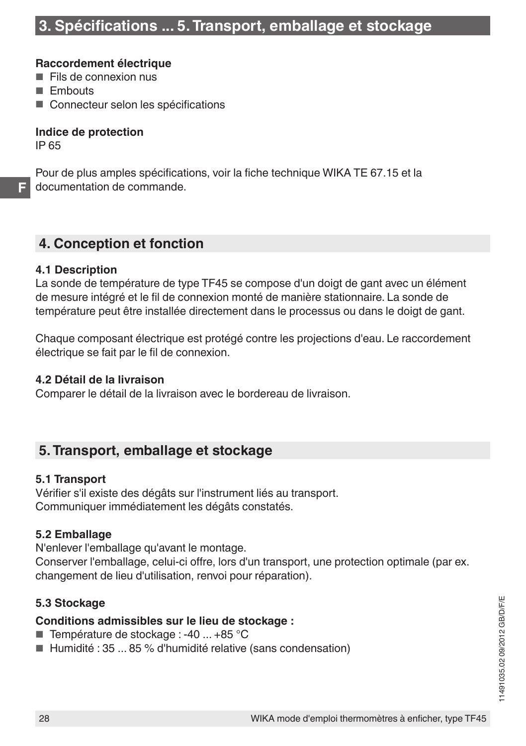#### **Raccordement électrique**

- Fils de connexion nus
- Embouts

**F**

■ Connecteur selon les spécifications

**Indice de protection** IP 65

Pour de plus amples spécifications, voir la fiche technique WIKA TE 67.15 et la documentation de commande.

#### **4. Conception et fonction**

#### **4.1 Description**

La sonde de température de type TF45 se compose d'un doigt de gant avec un élément de mesure intégré et le fil de connexion monté de manière stationnaire. La sonde de température peut être installée directement dans le processus ou dans le doigt de gant.

Chaque composant électrique est protégé contre les projections d'eau. Le raccordement électrique se fait par le fil de connexion.

#### **4.2 Détail de la livraison**

Comparer le détail de la livraison avec le bordereau de livraison.

## **5. Transport, emballage et stockage**

#### **5.1 Transport**

Vérifier s'il existe des dégâts sur l'instrument liés au transport. Communiquer immédiatement les dégâts constatés.

#### **5.2 Emballage**

N'enlever l'emballage qu'avant le montage. Conserver l'emballage, celui-ci offre, lors d'un transport, une protection optimale (par ex. changement de lieu d'utilisation, renvoi pour réparation).

#### **5.3 Stockage**

#### **Conditions admissibles sur le lieu de stockage :**

- Température de stockage : -40 ... +85 °C
- Humidité : 35 ... 85 % d'humidité relative (sans condensation)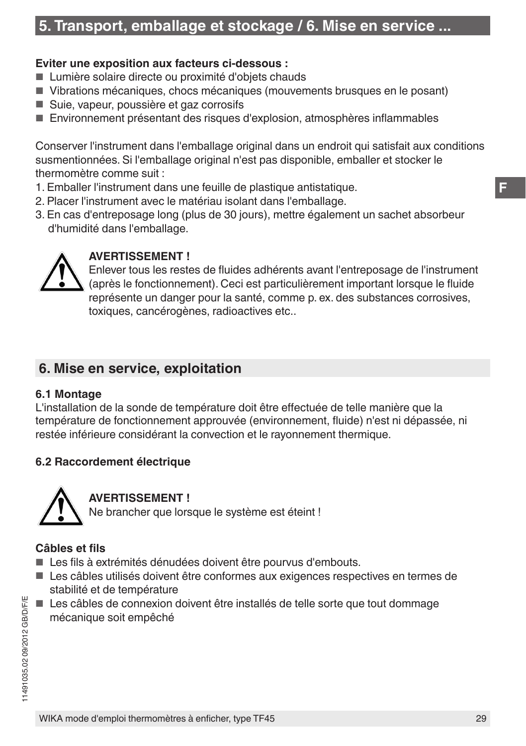# **5. Transport, emballage et stockage / 6. Mise en service ...**

#### **Eviter une exposition aux facteurs ci-dessous :**

- Lumière solaire directe ou proximité d'objets chauds
- Vibrations mécaniques, chocs mécaniques (mouvements brusques en le posant)
- Suie, vapeur, poussière et gaz corrosifs
- Environnement présentant des risques d'explosion, atmosphères inflammables

Conserver l'instrument dans l'emballage original dans un endroit qui satisfait aux conditions susmentionnées. Si l'emballage original n'est pas disponible, emballer et stocker le thermomètre comme suit :

- 1. Emballer l'instrument dans une feuille de plastique antistatique.
- 2. Placer l'instrument avec le matériau isolant dans l'emballage.
- 3. En cas d'entreposage long (plus de 30 jours), mettre également un sachet absorbeur d'humidité dans l'emballage.



#### **AVERTISSEMENT !**

Enlever tous les restes de fluides adhérents avant l'entreposage de l'instrument (après le fonctionnement). Ceci est particulièrement important lorsque le fluide représente un danger pour la santé, comme p. ex. des substances corrosives, toxiques, cancérogènes, radioactives etc..

## **6. Mise en service, exploitation**

#### **6.1 Montage**

L'installation de la sonde de température doit être effectuée de telle manière que la température de fonctionnement approuvée (environnement, fluide) n'est ni dépassée, ni restée inférieure considérant la convection et le rayonnement thermique.

#### **6.2 Raccordement électrique**



#### **AVERTISSEMENT !**

Ne brancher que lorsque le système est éteint !

#### **Câbles et fils**

- Les fils à extrémités dénudées doivent être pourvus d'embouts.
- Les câbles utilisés doivent être conformes aux exigences respectives en termes de stabilité et de température
- Les câbles de connexion doivent être installés de telle sorte que tout dommage mécanique soit empêché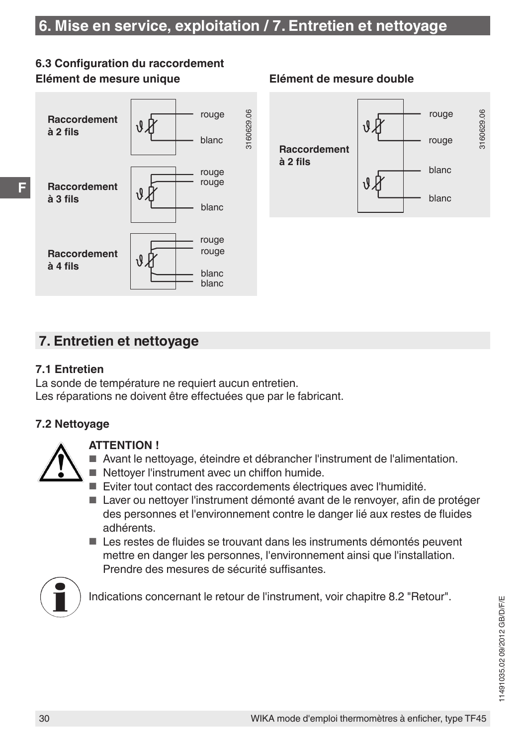## **6.3 Configuration du raccordement Elément de mesure unique Elément de mesure double**





# **7. Entretien et nettoyage**

#### **7.1 Entretien**

**F**

La sonde de température ne requiert aucun entretien. Les réparations ne doivent être effectuées que par le fabricant.

#### **7.2 Nettoyage**



#### **ATTENTION !**

- Avant le nettoyage, éteindre et débrancher l'instrument de l'alimentation.
- Nettover l'instrument avec un chiffon humide.
- Eviter tout contact des raccordements électriques avec l'humidité.
- Laver ou nettoyer l'instrument démonté avant de le renvoyer, afin de protéger des personnes et l'environnement contre le danger lié aux restes de fluides adhérents.
- Les restes de fluides se trouvant dans les instruments démontés peuvent mettre en danger les personnes, l'environnement ainsi que l'installation. Prendre des mesures de sécurité suffisantes.



Indications concernant le retour de l'instrument, voir chapitre 8.2 "Retour".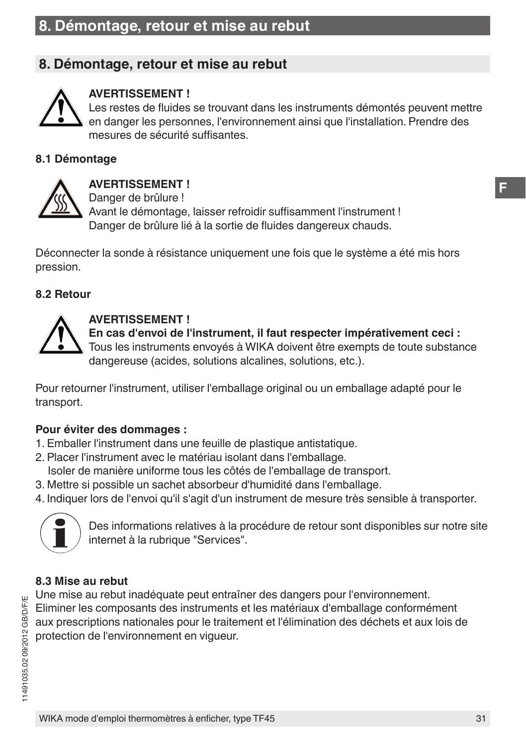# **8. Démontage, retour et mise au rebut**



#### **AVERTISSEMENT !**

Les restes de fluides se trouvant dans les instruments démontés peuvent mettre en danger les personnes, l'environnement ainsi que l'installation. Prendre des mesures de sécurité suffisantes.

#### **8.1 Démontage**



#### **AVERTISSEMENT !**

Danger de brûlure ! Avant le démontage, laisser refroidir suffisamment l'instrument ! Danger de brûlure lié à la sortie de fluides dangereux chauds.

Déconnecter la sonde à résistance uniquement une fois que le système a été mis hors pression.

#### **8.2 Retour**



#### **AVERTISSEMENT !**

**En cas d'envoi de l'instrument, il faut respecter impérativement ceci :** Tous les instruments envoyés à WIKA doivent être exempts de toute substance dangereuse (acides, solutions alcalines, solutions, etc.).

Pour retourner l'instrument, utiliser l'emballage original ou un emballage adapté pour le transport.

#### **Pour éviter des dommages :**

- 1. Emballer l'instrument dans une feuille de plastique antistatique.
- 2. Placer l'instrument avec le matériau isolant dans l'emballage.

Isoler de manière uniforme tous les côtés de l'emballage de transport.

- 3. Mettre si possible un sachet absorbeur d'humidité dans l'emballage.
- 4. Indiquer lors de l'envoi qu'il s'agit d'un instrument de mesure très sensible à transporter.



Des informations relatives à la procédure de retour sont disponibles sur notre site internet à la rubrique "Services".

#### **8.3 Mise au rebut**

Une mise au rebut inadéquate peut entraîner des dangers pour l'environnement. Eliminer les composants des instruments et les matériaux d'emballage conformément aux prescriptions nationales pour le traitement et l'élimination des déchets et aux lois de protection de l'environnement en vigueur.

**F**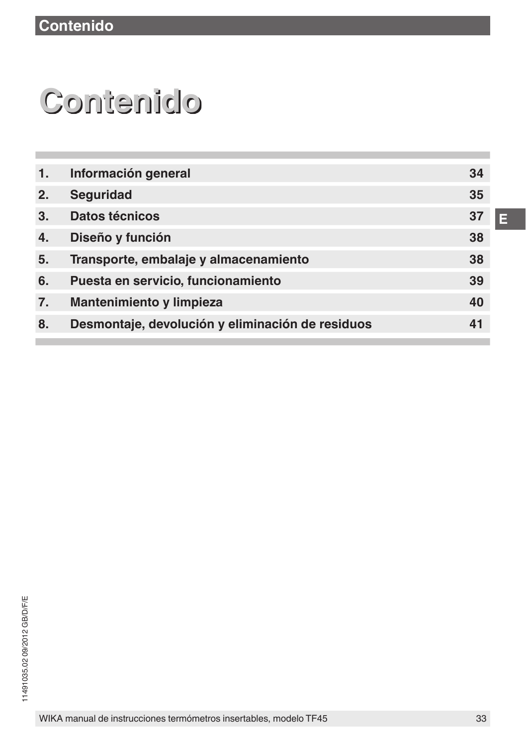# **Contenido**

| 1.               | Información general                              | 34 |
|------------------|--------------------------------------------------|----|
| 2.               | <b>Seguridad</b>                                 | 35 |
| 3.               | Datos técnicos                                   | 37 |
| 4.               | Diseño y función                                 | 38 |
| 5.               | Transporte, embalaje y almacenamiento            | 38 |
| 6.               | Puesta en servicio, funcionamiento               | 39 |
| $\overline{7}$ . | Mantenimiento y limpieza                         | 40 |
| 8.               | Desmontaje, devolución y eliminación de residuos | 41 |
|                  |                                                  |    |

**E**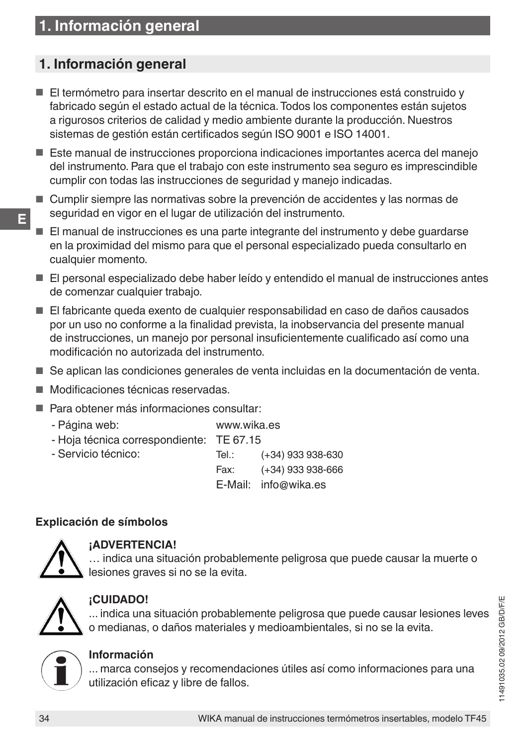# **1. Información general**

- El termómetro para insertar descrito en el manual de instrucciones está construido y fabricado según el estado actual de la técnica. Todos los componentes están sujetos a rigurosos criterios de calidad y medio ambiente durante la producción. Nuestros sistemas de gestión están certificados según ISO 9001 e ISO 14001.
- Este manual de instrucciones proporciona indicaciones importantes acerca del manejo del instrumento. Para que el trabajo con este instrumento sea seguro es imprescindible cumplir con todas las instrucciones de seguridad y manejo indicadas.
- Cumplir siempre las normativas sobre la prevención de accidentes y las normas de seguridad en vigor en el lugar de utilización del instrumento.
- El manual de instrucciones es una parte integrante del instrumento y debe quardarse en la proximidad del mismo para que el personal especializado pueda consultarlo en cualquier momento.
- El personal especializado debe haber leído y entendido el manual de instrucciones antes de comenzar cualquier trabajo.
- El fabricante queda exento de cualquier responsabilidad en caso de daños causados por un uso no conforme a la finalidad prevista, la inobservancia del presente manual de instrucciones, un manejo por personal insuficientemente cualificado así como una modificación no autorizada del instrumento.
- Se aplican las condiciones generales de venta incluidas en la documentación de venta.
- Modificaciones técnicas reservadas.
- Para obtener más informaciones consultar:
	- Página web: www.wika.es
	- Hoja técnica correspondiente: TE 67.15

| - Servicio técnico: | Tel.: | (+34) 933 938-630    |
|---------------------|-------|----------------------|
|                     | Fax:  | (+34) 933 938-666    |
|                     |       | E-Mail: info@wika.es |

#### **Explicación de símbolos**



#### **¡ADVERTENCIA!**

… indica una situación probablemente peligrosa que puede causar la muerte o lesiones graves si no se la evita.



#### **¡CUIDADO!**

... indica una situación probablemente peligrosa que puede causar lesiones leves o medianas, o daños materiales y medioambientales, si no se la evita.



#### **Información**

... marca consejos y recomendaciones útiles así como informaciones para una utilización eficaz y libre de fallos.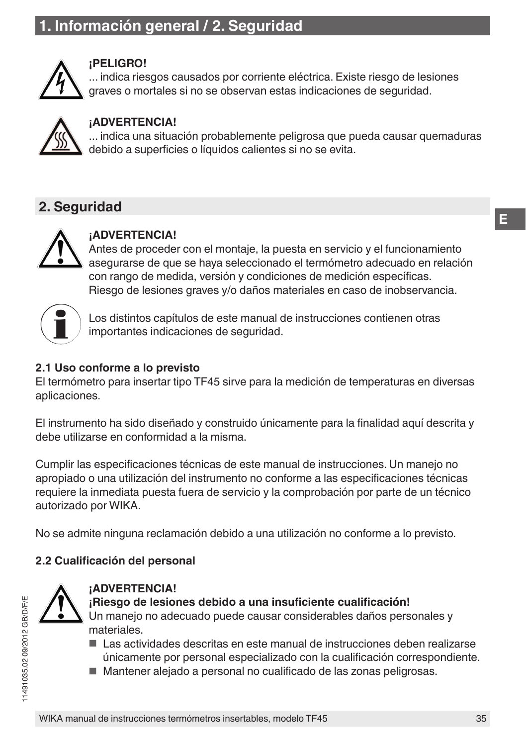# **1. Información general / 2. Seguridad**



#### **¡PELIGRO!**

... indica riesgos causados por corriente eléctrica. Existe riesgo de lesiones graves o mortales si no se observan estas indicaciones de seguridad.



#### **¡ADVERTENCIA!**

... indica una situación probablemente peligrosa que pueda causar quemaduras debido a superficies o líquidos calientes si no se evita.

# **2. Seguridad**



#### **¡ADVERTENCIA!**

Antes de proceder con el montaje, la puesta en servicio y el funcionamiento asegurarse de que se haya seleccionado el termómetro adecuado en relación con rango de medida, versión y condiciones de medición específicas. Riesgo de lesiones graves y/o daños materiales en caso de inobservancia.



Los distintos capítulos de este manual de instrucciones contienen otras importantes indicaciones de seguridad.

#### **2.1 Uso conforme a lo previsto**

El termómetro para insertar tipo TF45 sirve para la medición de temperaturas en diversas aplicaciones.

El instrumento ha sido diseñado y construido únicamente para la finalidad aquí descrita y debe utilizarse en conformidad a la misma.

Cumplir las especificaciones técnicas de este manual de instrucciones. Un manejo no apropiado o una utilización del instrumento no conforme a las especificaciones técnicas requiere la inmediata puesta fuera de servicio y la comprobación por parte de un técnico autorizado por WIKA.

No se admite ninguna reclamación debido a una utilización no conforme a lo previsto.

#### **2.2 Cualificación del personal**



#### **¡ADVERTENCIA!**

#### **¡Riesgo de lesiones debido a una insuficiente cualificación!**

Un manejo no adecuado puede causar considerables daños personales y materiales.

- Las actividades descritas en este manual de instrucciones deben realizarse únicamente por personal especializado con la cualificación correspondiente.
- Mantener alejado a personal no cualificado de las zonas peligrosas.

**E**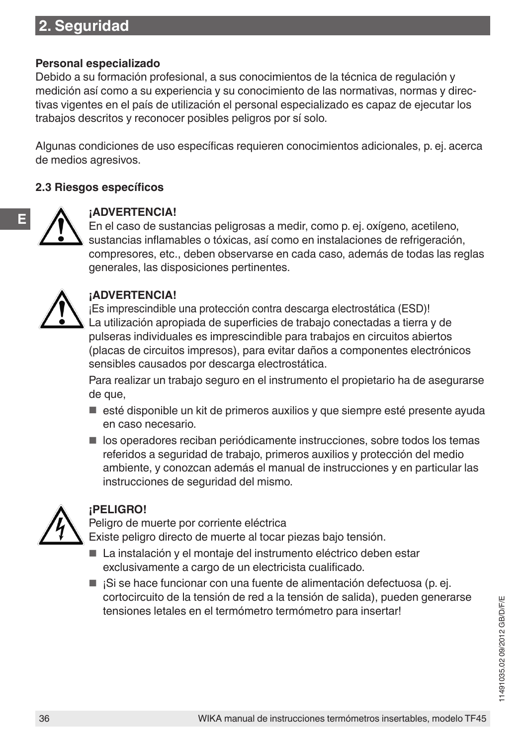# **2. Seguridad**

#### **Personal especializado**

Debido a su formación profesional, a sus conocimientos de la técnica de regulación y medición así como a su experiencia y su conocimiento de las normativas, normas y directivas vigentes en el país de utilización el personal especializado es capaz de ejecutar los trabajos descritos y reconocer posibles peligros por sí solo.

Algunas condiciones de uso específicas requieren conocimientos adicionales, p. ej. acerca de medios agresivos.

#### **2.3 Riesgos específicos**



**E**

#### **¡ADVERTENCIA!**

En el caso de sustancias peligrosas a medir, como p. ej. oxígeno, acetileno, sustancias inflamables o tóxicas, así como en instalaciones de refrigeración, compresores, etc., deben observarse en cada caso, además de todas las reglas generales, las disposiciones pertinentes.



#### **¡ADVERTENCIA!**

¡Es imprescindible una protección contra descarga electrostática (ESD)! La utilización apropiada de superficies de trabajo conectadas a tierra y de pulseras individuales es imprescindible para trabajos en circuitos abiertos (placas de circuitos impresos), para evitar daños a componentes electrónicos sensibles causados por descarga electrostática.

Para realizar un trabajo seguro en el instrumento el propietario ha de asegurarse de que,

- esté disponible un kit de primeros auxilios y que siempre esté presente ayuda en caso necesario.
- los operadores reciban periódicamente instrucciones, sobre todos los temas referidos a seguridad de trabajo, primeros auxilios y protección del medio ambiente, y conozcan además el manual de instrucciones y en particular las instrucciones de seguridad del mismo.



#### **¡PELIGRO!**

Peligro de muerte por corriente eléctrica

Existe peligro directo de muerte al tocar piezas bajo tensión.

- La instalación y el montaje del instrumento eléctrico deben estar exclusivamente a cargo de un electricista cualificado.
- ¡Si se hace funcionar con una fuente de alimentación defectuosa (p. ei. cortocircuito de la tensión de red a la tensión de salida), pueden generarse tensiones letales en el termómetro termómetro para insertar!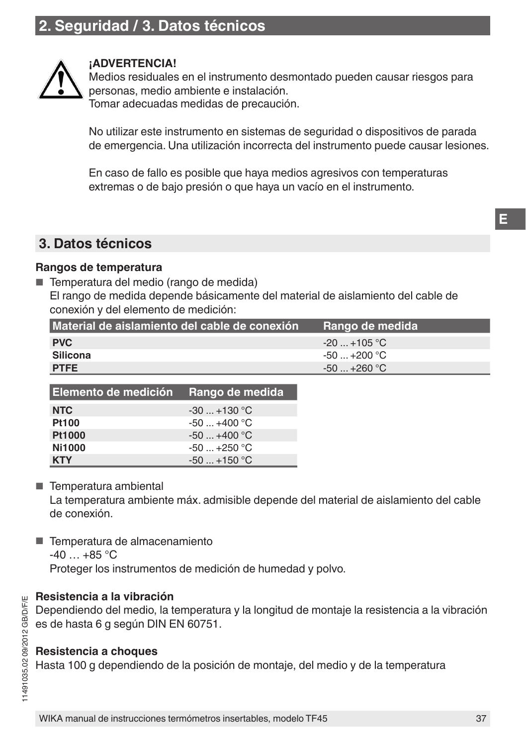# **2. Seguridad / 3. Datos técnicos**



#### **¡ADVERTENCIA!**

Medios residuales en el instrumento desmontado pueden causar riesgos para personas, medio ambiente e instalación. Tomar adecuadas medidas de precaución.

No utilizar este instrumento en sistemas de seguridad o dispositivos de parada de emergencia. Una utilización incorrecta del instrumento puede causar lesiones.

En caso de fallo es posible que haya medios agresivos con temperaturas extremas o de bajo presión o que haya un vacío en el instrumento.

#### **3. Datos técnicos**

#### **Rangos de temperatura**

■ Temperatura del medio (rango de medida)

El rango de medida depende básicamente del material de aislamiento del cable de conexión y del elemento de medición:

| Material de aislamiento del cable de conexión | Rango de medida |
|-----------------------------------------------|-----------------|
| <b>PVC</b>                                    | $-20+105$ °C    |
| Silicona                                      | $-50+200$ °C    |
| <b>PTFE</b>                                   | $-50+260$ °C    |

| Elemento de medición Rango de medida |              |
|--------------------------------------|--------------|
| <b>NTC</b>                           | $-30+130$ °C |
| Pt100                                | $-50+400 °C$ |
| Pt1000                               | $-50+400$ °C |
| <b>Ni1000</b>                        | $-50+250$ °C |
| <b>KTY</b>                           | $-50+150$ °C |

■ Temperatura ambiental

La temperatura ambiente máx. admisible depende del material de aislamiento del cable de conexión.

■ Temperatura de almacenamiento  $-40$  …  $+85$  °C Proteger los instrumentos de medición de humedad y polvo.

#### **Resistencia a la vibración**

Dependiendo del medio, la temperatura y la longitud de montaje la resistencia a la vibración es de hasta 6 g según DIN EN 60751.

#### **Resistencia a choques**

Hasta 100 g dependiendo de la posición de montaje, del medio y de la temperatura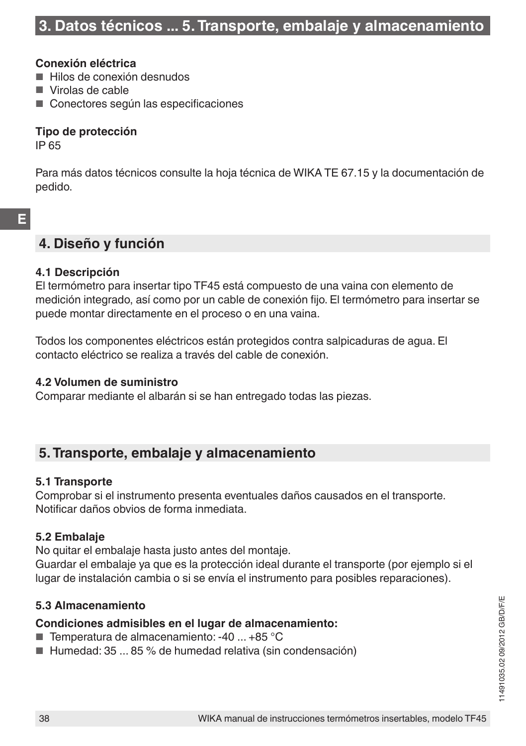#### **Conexión eléctrica**

- Hilos de conexión desnudos
- Virolas de cable
- Conectores según las especificaciones

#### **Tipo de protección**

IP 65

Para más datos técnicos consulte la hoja técnica de WIKA TE 67.15 y la documentación de pedido.

#### **4. Diseño y función**

#### **4.1 Descripción**

El termómetro para insertar tipo TF45 está compuesto de una vaina con elemento de medición integrado, así como por un cable de conexión fijo. El termómetro para insertar se puede montar directamente en el proceso o en una vaina.

Todos los componentes eléctricos están protegidos contra salpicaduras de agua. El contacto eléctrico se realiza a través del cable de conexión.

#### **4.2 Volumen de suministro**

Comparar mediante el albarán si se han entregado todas las piezas.

## **5. Transporte, embalaje y almacenamiento**

#### **5.1 Transporte**

Comprobar si el instrumento presenta eventuales daños causados en el transporte. Notificar daños obvios de forma inmediata.

#### **5.2 Embalaje**

No quitar el embalaje hasta justo antes del montaje.

Guardar el embalaje ya que es la protección ideal durante el transporte (por ejemplo si el lugar de instalación cambia o si se envía el instrumento para posibles reparaciones).

#### **5.3 Almacenamiento**

#### **Condiciones admisibles en el lugar de almacenamiento:**

- Temperatura de almacenamiento: -40 ... +85 °C
- Humedad: 35 ... 85 % de humedad relativa (sin condensación)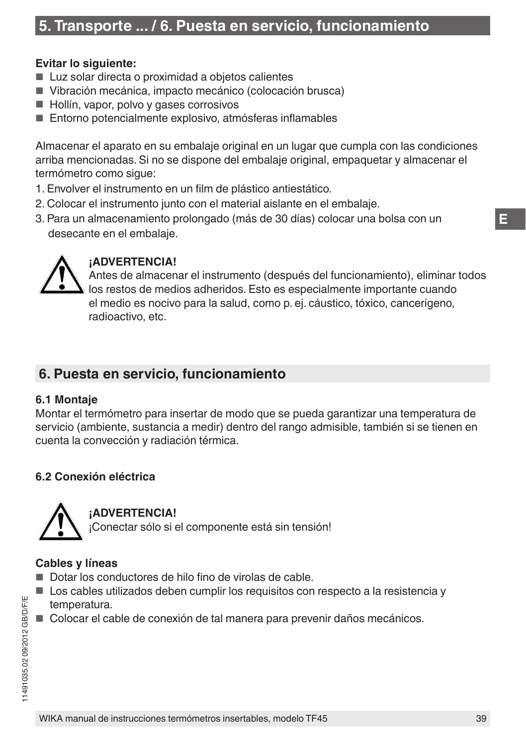# **5. Transporte ... / 6. Puesta en servicio, funcionamiento**

#### **Evitar lo siguiente:**

- Luz solar directa o proximidad a objetos calientes
- Vibración mecánica, impacto mecánico (colocación brusca)
- Hollín, vapor, polvo y gases corrosivos
- Entorno potencialmente explosivo, atmósferas inflamables

Almacenar el aparato en su embalaje original en un lugar que cumpla con las condiciones arriba mencionadas. Si no se dispone del embalaje original, empaquetar y almacenar el termómetro como sigue:

- 1. Envolver el instrumento en un film de plástico antiestático.
- 2. Colocar el instrumento junto con el material aislante en el embalaje.
- 3. Para un almacenamiento prolongado (más de 30 días) colocar una bolsa con un desecante en el embalaje.



#### **¡ADVERTENCIA!**

Antes de almacenar el instrumento (después del funcionamiento), eliminar todos los restos de medios adheridos. Esto es especialmente importante cuando el medio es nocivo para la salud, como p. ej. cáustico, tóxico, cancerígeno, radioactivo, etc.

# **6. Puesta en servicio, funcionamiento**

#### **6.1 Montaje**

Montar el termómetro para insertar de modo que se pueda garantizar una temperatura de servicio (ambiente, sustancia a medir) dentro del rango admisible, también si se tienen en cuenta la convección y radiación térmica.

#### **6.2 Conexión eléctrica**



#### **¡ADVERTENCIA!**

¡Conectar sólo si el componente está sin tensión!

#### **Cables y líneas**

- Dotar los conductores de hilo fino de virolas de cable.
- Los cables utilizados deben cumplir los requisitos con respecto a la resistencia y temperatura.
- Colocar el cable de conexión de tal manera para prevenir daños mecánicos.

**E**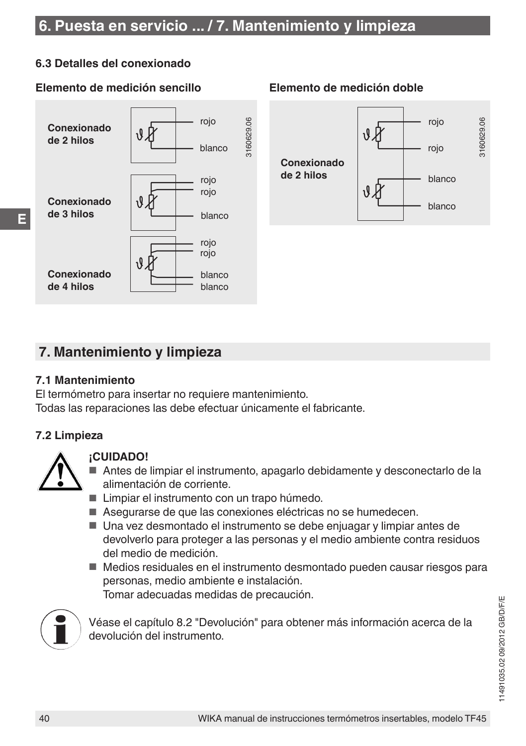#### **6.3 Detalles del conexionado**

#### **Elemento de medición sencillo Elemento de medición doble**





# **7. Mantenimiento y limpieza**

#### **7.1 Mantenimiento**

El termómetro para insertar no requiere mantenimiento. Todas las reparaciones las debe efectuar únicamente el fabricante.

#### **7.2 Limpieza**



#### **¡CUIDADO!**

■ Antes de limpiar el instrumento, apagarlo debidamente y desconectarlo de la alimentación de corriente.

- Limpiar el instrumento con un trapo húmedo.
- Asegurarse de que las conexiones eléctricas no se humedecen.
- Una vez desmontado el instrumento se debe enjuagar y limpiar antes de devolverlo para proteger a las personas y el medio ambiente contra residuos del medio de medición.
- Medios residuales en el instrumento desmontado pueden causar riesgos para personas, medio ambiente e instalación. Tomar adecuadas medidas de precaución.



Véase el capítulo 8.2 "Devolución" para obtener más información acerca de la devolución del instrumento.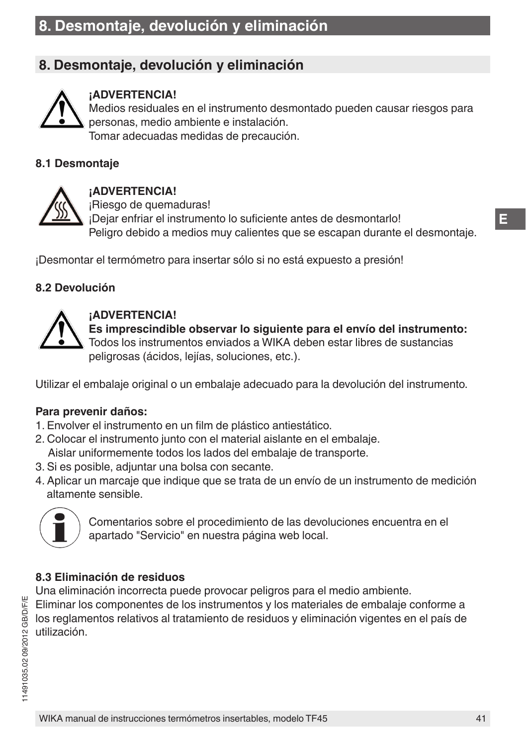# **8. Desmontaje, devolución y eliminación**



#### **¡ADVERTENCIA!**

Medios residuales en el instrumento desmontado pueden causar riesgos para personas, medio ambiente e instalación. Tomar adecuadas medidas de precaución.

#### **8.1 Desmontaje**



#### **¡ADVERTENCIA!**

¡Riesgo de quemaduras! ¡Dejar enfriar el instrumento lo suficiente antes de desmontarlo! Peligro debido a medios muy calientes que se escapan durante el desmontaje.

¡Desmontar el termómetro para insertar sólo si no está expuesto a presión!

#### **8.2 Devolución**



#### **¡ADVERTENCIA!**

**Es imprescindible observar lo siguiente para el envío del instrumento:** Todos los instrumentos enviados a WIKA deben estar libres de sustancias peligrosas (ácidos, lejías, soluciones, etc.).

Utilizar el embalaje original o un embalaje adecuado para la devolución del instrumento.

#### **Para prevenir daños:**

- 1. Envolver el instrumento en un film de plástico antiestático.
- 2. Colocar el instrumento junto con el material aislante en el embalaje. Aislar uniformemente todos los lados del embalaje de transporte.
- 3. Si es posible, adjuntar una bolsa con secante.
- 4. Aplicar un marcaje que indique que se trata de un envío de un instrumento de medición altamente sensible.



Comentarios sobre el procedimiento de las devoluciones encuentra en el apartado "Servicio" en nuestra página web local.

#### **8.3 Eliminación de residuos**

Una eliminación incorrecta puede provocar peligros para el medio ambiente.

Eliminar los componentes de los instrumentos y los materiales de embalaje conforme a los reglamentos relativos al tratamiento de residuos y eliminación vigentes en el país de utilización.

**E**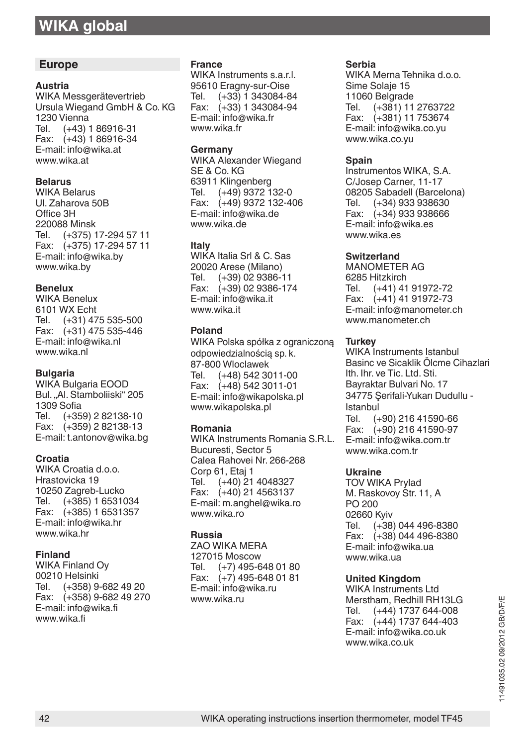# **WIKA global**

#### **Europe**

#### **Austria**

WIKA Messgerätevertrieb Ursula Wiegand GmbH & Co. KG 1230 Vienna  $(+43)$  1 86916-31 Fax: (+43) 1 86916-34 E-mail: info@wika.at www.wika.at

#### **Belarus**

WIKA Belarus Ul. Zaharova 50B Office 3H 220088 Minsk<br>Tel. (+375) 1 Tel. (+375) 17-294 57 11 Fax: (+375) 17-294 57 11 E-mail: info@wika.by www.wika.by

#### **Benelux**

WIKA Benelux 6101 WX Echt<br>Tel. (+31) 47 (+31) 475 535-500 Fax: (+31) 475 535-446 E-mail: info@wika.nl www.wika.nl

#### **Bulgaria**

WIKA Bulgaria EOOD Bul. "Al. Stamboliiski" 205 1309 Sofia<br>Tel (+35  $(+359)$  2 82138-10 Fax: (+359) 2 82138-13 E-mail: t.antonov@wika.bg

#### **Croatia**

WIKA Croatia d.o.o. Hrastovicka 19 10250 Zagreb-Lucko<br>Tel (+385) 1.6531  $(+385)$  1 6531034 Fax: (+385) 1 6531357 E-mail: info@wika.hr www.wika.hr

#### **Finland**

WIKA Finland Oy 00210 Helsinki<br>Tel (+358) 9 Tel. (+358) 9-682 49 20 Fax: (+358) 9-682 49 270 E-mail: info@wika.fi www.wika.fi

#### **France**

WIKA Instruments s.a.r.l. 95610 Eragny-sur-Oise<br>Tel (+33) 1 343084-8  $(+33)$  1 343084-84 Fax: (+33) 1 343084-94 E-mail: info@wika.fr www.wika.fr

#### **Germany**

WIKA Alexander Wiegand SE & Co. KG 63911 Klingenberg<br>Tel. (+49) 9372 1 (+49) 9372 132-0 Fax: (+49) 9372 132-406 E-mail: info@wika.de www.wika.de

#### **Italy**

WIKA Italia Srl & C. Sas 20020 Arese (Milano)<br>Tel (+39) 02 9386-1 Tel. (+39) 02 9386-11<br>Eax: (+39) 02 9386-17  $(+39)$  02 9386-174 E-mail: info@wika.it www.wika.it

#### **Poland**

WIKA Polska spółka z ograniczoną odpowiedzialnością sp. k. 87-800 Wloclawek<br>Tel. (+48) 542 30  $(+48)$  542 3011-00 Fax: (+48) 542 3011-01 E-mail: info@wikapolska.pl www.wikapolska.pl

#### **Romania**

WIKA Instruments Romania S.R.L. Bucuresti, Sector 5 Calea Rahovei Nr. 266-268 Corp 61, Etaj 1<br>Tel. (+40) 21 Tel. (+40) 21 4048327 Fax: (+40) 21 4563137 E-mail: m.anghel@wika.ro www.wika.ro

#### **Russia**

ZAO WIKA MERA 127015 Moscow<br>Tel (+7) 495-6 Tel. (+7) 495-648 01 80<br>Eax: (+7) 495-648 01 81  $(+7)$  495-648 01 81 E-mail: info@wika.ru www.wika.ru

#### **Serbia**

WIKA Merna Tehnika d.o.o. Sime Solaje 15 11060 Belgrade<br>Tel. (+381) 11 Tel. (+381) 11 2763722 Fax: (+381) 11 753674 E-mail: info@wika.co.yu www.wika.co.yu

#### **Spain**

Instrumentos WIKA, S.A. C/Josep Carner, 11-17 08205 Sabadell (Barcelona)<br>Tel. (+34) 933 938630  $(+34)$  933 938630 Fax: (+34) 933 938666 E-mail: info@wika.es www.wika.es

#### **Switzerland**

MANOMETER AG 6285 Hitzkirch Tel. (+41) 41 91972-72 Fax: (+41) 41 91972-73 E-mail: info@manometer.ch www.manometer.ch

#### **Turkey**

WIKA Instruments Istanbul Basinc ve Sicaklik Ölcme Cihazlari Ith. Ihr. ve Tic. Ltd. Sti. Bayraktar Bulvari No. 17 34775 Şerifali-Yukarı Dudullu - **Istanbul**<br>Tel (+  $(+90)$  216 41590-66 Fax: (+90) 216 41590-97 E-mail: info@wika.com.tr www.wika.com.tr

#### **Ukraine**

TOV WIKA Prylad M. Raskovoy Str. 11, A PO 200 02660 Kyiv<br>Tel. (+38)  $(+38)$  044 496-8380 Fax: (+38) 044 496-8380 E-mail: info@wika.ua www.wika.ua

#### **United Kingdom**

WIKA Instruments Ltd Merstham, Redhill RH13LG<br>Tel. (+44) 1737 644-008 (+44) 1737 644-008 Fax: (+44) 1737 644-403 E-mail: info@wika.co.uk www.wika.co.uk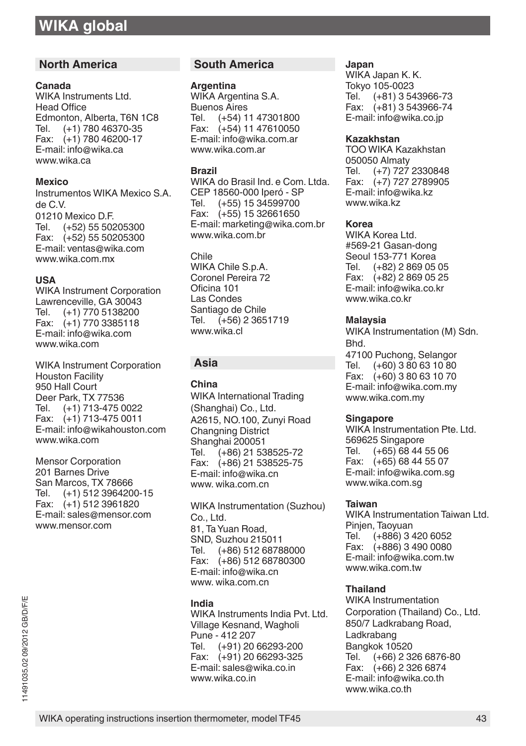# **WIKA global**

#### **North America**

#### **Canada**

WIKA Instruments Ltd. Head Office Edmonton, Alberta, T6N 1C8  $(+1)$  780 46370-35 Fax: (+1) 780 46200-17 E-mail: info@wika.ca www.wika.ca

#### **Mexico**

Instrumentos WIKA Mexico S.A. de C.V. 01210 Mexico D.F.<br>Tel (+52) 55.502 (+52) 55 50205300 Fax: (+52) 55 50205300 E-mail: ventas@wika.com www.wika.com.mx

#### **USA**

WIKA Instrument Corporation Lawrenceville, GA 30043<br>Tel (+1) 770 5138200  $(+1)$  770 5138200 Fax: (+1) 770 3385118 E-mail: info@wika.com www.wika.com

WIKA Instrument Corporation Houston Facility 950 Hall Court Deer Park, TX 77536<br>Tel (+1) 713-4750 Tel. (+1) 713-475 0022 Fax: (+1) 713-475 0011 E-mail: info@wikahouston.com www.wika.com

Mensor Corporation 201 Barnes Drive San Marcos, TX 78666<br>Tel. (+1) 512 396420  $(+1)$  512 3964200-15 Fax: (+1) 512 3961820 E-mail: sales@mensor.com www.mensor.com

#### **South America**

#### **Argentina**

WIKA Argentina S.A. Buenos Āires<br>Tel (+54) 1 (+54) 11 47301800 Fax: (+54) 11 47610050 E-mail: info@wika.com.ar www.wika.com.ar

#### **Brazil**

WIKA do Brasil Ind. e Com. Ltda. CEP 18560-000 Iperó - SP<br>Tel. (+55) 15 34599700  $(+55)$  15 34599700 Fax: (+55) 15 32661650 E-mail: marketing@wika.com.br www.wika.com.br

#### Chile

WIKA Chile S.p.A. Coronel Pereira 72 Oficina 101 Las Condes Santiago de Chile<br>Tel. (+56) 2 365  $(1+56)$  2 3651719 www.wika.cl

#### **Asia**

#### **China**

WIKA International Trading (Shanghai) Co., Ltd. A2615, NO.100, Zunyi Road Changning District Shanghai 200051<br>Tel. (+86) 21 53 Tel. (+86) 21 538525-72<br>Eax: (+86) 21 538525-75  $(+86)$  21 538525-75 E-mail: info@wika.cn www. wika.com.cn

WIKA Instrumentation (Suzhou) Co., Ltd. 81, Ta Yuan Road, SND, Suzhou 215011<br>Tel (+86) 512.6878 (+86) 512 68788000 Fax: (+86) 512 68780300 E-mail: info@wika.cn www. wika.com.cn

#### **India**

WIKA Instruments India Pvt. Ltd. Village Kesnand, Wagholi Pune - 412 207<br>Tel. (+91) 20 Tel. (+91) 20 66293-200 Fax: (+91) 20 66293-325 E-mail: sales@wika.co.in www.wika.co.in

#### **Japan**

WIKA Japan K. K. Tokyo 105-0023<br>Tel. (+81) 354 (+81) 3 543966-73 Fax: (+81) 3 543966-74 E-mail: info@wika.co.jp

#### **Kazakhstan**

TOO WIKA Kazakhstan 050050 Almaty<br>Tel. (+7) 727 Tel. (+7) 727 2330848 Fax: (+7) 727 2789905 E-mail: info@wika.kz www.wika.kz

#### **Korea**

WIKA Korea Ltd. #569-21 Gasan-dong Seoul 153-771 Korea<br>Tel. (+82) 2 869 05 Tel. (+82) 2 869 05 05 Fax: (+82) 2 869 05 25 E-mail: info@wika.co.kr www.wika.co.kr

#### **Malaysia**

WIKA Instrumentation (M) Sdn. Bhd. 47100 Puchong, Selangor<br>Tel. (+60) 3 80 63 10 80  $(+60)$  3 80 63 10 80 Fax: (+60) 3 80 63 10 70 E-mail: info@wika.com.my www.wika.com.my

#### **Singapore**

WIKA Instrumentation Pte. Ltd. 569625 Singapore<br>Tel. (+65) 68 44  $(+65)$  68 44 55 06 Fax: (+65) 68 44 55 07 E-mail: info@wika.com.sg www.wika.com.sg

#### **Taiwan**

WIKA Instrumentation Taiwan Ltd. Pinjen, Taoyuan<br>Tel. (+886) 34 Tel. (+886) 3 420 6052<br>Eax: (+886) 3 490 0080  $(+886)$  3 490 0080 E-mail: info@wika.com.tw www.wika.com.tw

#### **Thailand**

WIKA Instrumentation Corporation (Thailand) Co., Ltd. 850/7 Ladkrabang Road, Ladkrabang Bangkok 10520<br>Tel (+66) 2.32 (+66) 2 326 6876-80 Fax: (+66) 2 326 6874 E-mail: info@wika.co.th www.wika.co.th